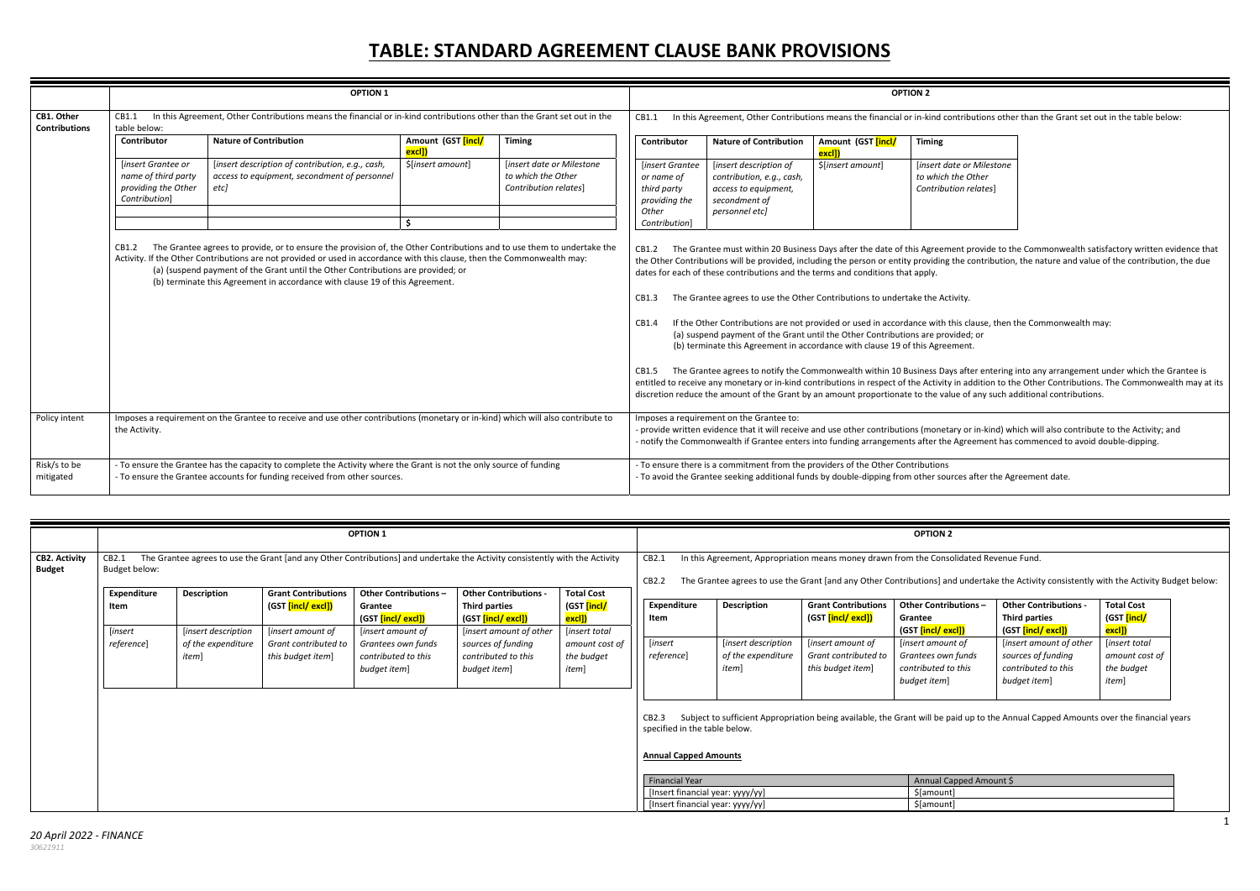## **TABLE: STANDARD AGREEMENT CLAUSE BANK PROVISIONS**

ontributions other than the Grant set out in the table below:

\$[*insert amount*] [*insert date or Milestone the Other Contribution relates*]

> nent provide to the Commonwealth satisfactory written evidence that g the contribution, the nature and value of the contribution, the due

- this clause, then the Commonwealth may: vided; or
- 

Iys after entering into any arrangement under which the Grantee is in addition to the Other Contributions. The Commonwealth may at its lue of any such additional contributions.

tary or in‐kind) which will also contribute to the Activity; and Agreement has commenced to avoid double-dipping.

rces after the Agreement date.

| pped Amount \$ |
|----------------|
|                |
|                |

|                                    |                                                                                   | <b>OPTION 1</b>                                                                                                                                                                                                                                                                                                                                                                                                        |                              |                                                                          |                                                                                         |                                                                                                                                                                                                                                                                                                                                                                                                                                                                                                                                                                                                                                                                                                                                                                                                                                                                    |                              | <b>OPTION 2</b>                                      |
|------------------------------------|-----------------------------------------------------------------------------------|------------------------------------------------------------------------------------------------------------------------------------------------------------------------------------------------------------------------------------------------------------------------------------------------------------------------------------------------------------------------------------------------------------------------|------------------------------|--------------------------------------------------------------------------|-----------------------------------------------------------------------------------------|--------------------------------------------------------------------------------------------------------------------------------------------------------------------------------------------------------------------------------------------------------------------------------------------------------------------------------------------------------------------------------------------------------------------------------------------------------------------------------------------------------------------------------------------------------------------------------------------------------------------------------------------------------------------------------------------------------------------------------------------------------------------------------------------------------------------------------------------------------------------|------------------------------|------------------------------------------------------|
| CB1. Other<br><b>Contributions</b> | CB1.1<br>table below:                                                             | In this Agreement, Other Contributions means the financial or in-kind contributions other than the Grant set out in the                                                                                                                                                                                                                                                                                                |                              |                                                                          | CB1.1                                                                                   | In this Agreement, Other Contributions means the financial or in-kind contribution                                                                                                                                                                                                                                                                                                                                                                                                                                                                                                                                                                                                                                                                                                                                                                                 |                              |                                                      |
|                                    | Contributor                                                                       | <b>Nature of Contribution</b>                                                                                                                                                                                                                                                                                                                                                                                          | Amount (GST [incl/<br>excl]) | <b>Timing</b>                                                            | Contributor                                                                             | <b>Nature of Contribution</b>                                                                                                                                                                                                                                                                                                                                                                                                                                                                                                                                                                                                                                                                                                                                                                                                                                      | Amount (GST [incl/<br>excl]) | <b>Timing</b>                                        |
|                                    | [insert Grantee or<br>name of third party<br>providing the Other<br>Contribution] | [insert description of contribution, e.g., cash,<br>access to equipment, secondment of personnel<br>etc]                                                                                                                                                                                                                                                                                                               | \$[insert amount]<br>Ś.      | [insert date or Milestone<br>to which the Other<br>Contribution relates] | [insert Grantee<br>or name of<br>third party<br>providing the<br>Other<br>Contribution] | [insert description of<br>contribution, e.g., cash,<br>access to equipment,<br>secondment of<br>personnel etc]                                                                                                                                                                                                                                                                                                                                                                                                                                                                                                                                                                                                                                                                                                                                                     | \$[insert amount]            | linsert date or<br>to which the O<br>Contribution re |
|                                    | CB1.2                                                                             | The Grantee agrees to provide, or to ensure the provision of, the Other Contributions and to use them to undertake the<br>Activity. If the Other Contributions are not provided or used in accordance with this clause, then the Commonwealth may:<br>(a) (suspend payment of the Grant until the Other Contributions are provided; or<br>(b) terminate this Agreement in accordance with clause 19 of this Agreement. |                              |                                                                          | CB1.2<br>CB1.3<br>CB1.4<br>CB1.5                                                        | The Grantee must within 20 Business Days after the date of this Agreement pi<br>the Other Contributions will be provided, including the person or entity providing the co<br>dates for each of these contributions and the terms and conditions that apply.<br>The Grantee agrees to use the Other Contributions to undertake the Activity.<br>If the Other Contributions are not provided or used in accordance with this cla<br>(a) suspend payment of the Grant until the Other Contributions are provided;<br>(b) terminate this Agreement in accordance with clause 19 of this Agreement.<br>The Grantee agrees to notify the Commonwealth within 10 Business Days afte<br>entitled to receive any monetary or in-kind contributions in respect of the Activity in ad<br>discretion reduce the amount of the Grant by an amount proportionate to the value of |                              |                                                      |
| Policy intent                      | the Activity.                                                                     | Imposes a requirement on the Grantee to receive and use other contributions (monetary or in-kind) which will also contribute to                                                                                                                                                                                                                                                                                        |                              |                                                                          |                                                                                         | Imposes a requirement on the Grantee to:<br>- provide written evidence that it will receive and use other contributions (monetary or<br>- notify the Commonwealth if Grantee enters into funding arrangements after the Agree                                                                                                                                                                                                                                                                                                                                                                                                                                                                                                                                                                                                                                      |                              |                                                      |
| Risk/s to be<br>mitigated          |                                                                                   | - To ensure the Grantee has the capacity to complete the Activity where the Grant is not the only source of funding<br>- To ensure the Grantee accounts for funding received from other sources.                                                                                                                                                                                                                       |                              |                                                                          |                                                                                         | - To ensure there is a commitment from the providers of the Other Contributions<br>- To avoid the Grantee seeking additional funds by double-dipping from other sources a                                                                                                                                                                                                                                                                                                                                                                                                                                                                                                                                                                                                                                                                                          |                              |                                                      |

|                                       |                            |                                           |                                                                       | <b>OPTION 1</b>                                                                |                                                                                                                             |                                                                      |                                                                                               |                                                    |                                                                | <b>OPTION 2</b>                                                                        |                                                                                                                                      |                                                                                                                                          |
|---------------------------------------|----------------------------|-------------------------------------------|-----------------------------------------------------------------------|--------------------------------------------------------------------------------|-----------------------------------------------------------------------------------------------------------------------------|----------------------------------------------------------------------|-----------------------------------------------------------------------------------------------|----------------------------------------------------|----------------------------------------------------------------|----------------------------------------------------------------------------------------|--------------------------------------------------------------------------------------------------------------------------------------|------------------------------------------------------------------------------------------------------------------------------------------|
| <b>CB2. Activity</b><br><b>Budget</b> | CB2.1<br>Budget below:     |                                           |                                                                       |                                                                                | The Grantee agrees to use the Grant [and any Other Contributions] and undertake the Activity consistently with the Activity |                                                                      | CB2.1<br>CB2.2                                                                                |                                                    |                                                                | In this Agreement, Appropriation means money drawn from the Consolidated Revenue Fund. |                                                                                                                                      | The Grantee agrees to use the Grant [and any Other Contributions] and undertake the Activity consistently with the Activity Budget below |
|                                       | <b>Expenditure</b><br>Item | <b>Description</b><br>[insert description | <b>Grant Contributions</b><br>(GST [incl/ excl])<br>[insert amount of | <b>Other Contributions -</b><br>Grantee<br>(GST [incl/ excl])                  | <b>Other Contributions -</b><br><b>Third parties</b><br>(GST <mark>[incl/ excl])</mark>                                     | <b>Total Cost</b><br>(GST <mark>[incl/</mark><br><mark>excl])</mark> | <b>Expenditure</b><br>Item                                                                    | <b>Description</b>                                 | <b>Grant Contributions</b><br>(GST <mark>[incl/ excl])</mark>  | Other Contributions-<br>Grantee<br>(GST <mark>[incl/ excl])</mark>                     | <b>Other Contributions -</b><br><b>Third parties</b><br>(GST [incl/ excl])                                                           | <b>Total Cost</b><br>(GST [incl/<br><mark>excl])</mark>                                                                                  |
|                                       | [insert<br>reference]      | of the expenditure<br>item]               | Grant contributed to<br>this budget item]                             | [insert amount of<br>Grantees own funds<br>contributed to this<br>budget item] | [insert amount of other<br>sources of funding<br>contributed to this<br>budget item]                                        | [insert total<br>amount cost of<br>the budget<br>item]               | <i>insert</i><br>reference]                                                                   | [insert description<br>of the expenditure<br>item] | [insert amount of<br>Grant contributed to<br>this budget item] | [insert amount of<br>Grantees own funds<br>contributed to this<br>budget item]         | [insert amount of other<br>sources of funding<br>contributed to this<br>budget item]                                                 | [insert total<br>amount cost of<br>the budget<br>item]                                                                                   |
|                                       |                            |                                           |                                                                       |                                                                                |                                                                                                                             |                                                                      | CB2.3<br>specified in the table below.<br><b>Annual Capped Amounts</b>                        |                                                    |                                                                |                                                                                        | Subject to sufficient Appropriation being available, the Grant will be paid up to the Annual Capped Amounts over the financial years |                                                                                                                                          |
|                                       |                            |                                           |                                                                       |                                                                                |                                                                                                                             |                                                                      | <b>Financial Year</b><br>[Insert financial year: yyyy/yy]<br>[Insert financial year: yyyy/yy] |                                                    |                                                                | Annual Capped Amount \$<br>\$[amount]<br>\$[amount]                                    |                                                                                                                                      |                                                                                                                                          |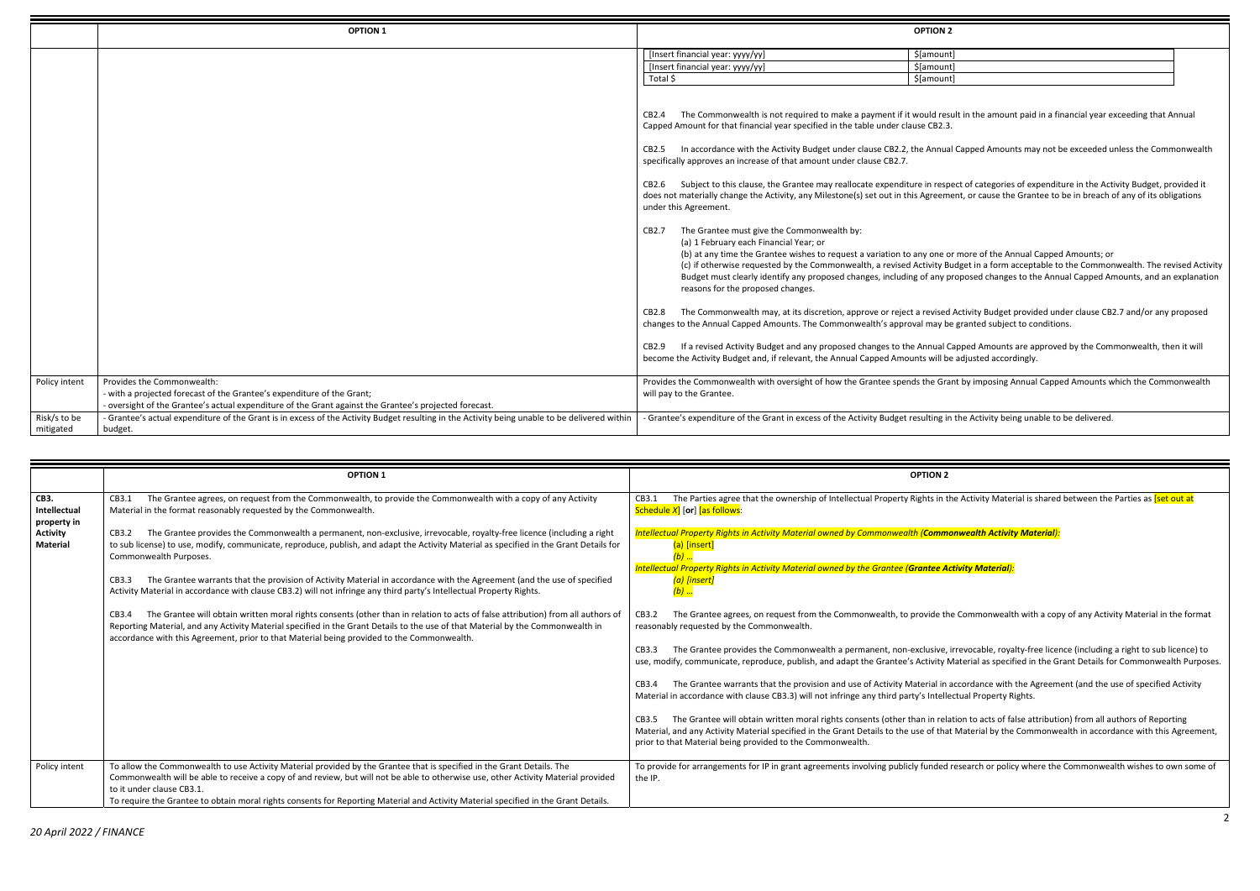|                                                                                                                                                                                                                                            | <b>OPTION 2</b>                                                                                                                                                                                                                                                                          |  |
|--------------------------------------------------------------------------------------------------------------------------------------------------------------------------------------------------------------------------------------------|------------------------------------------------------------------------------------------------------------------------------------------------------------------------------------------------------------------------------------------------------------------------------------------|--|
| nancial year: yyyy/yy]                                                                                                                                                                                                                     | \$[amount]                                                                                                                                                                                                                                                                               |  |
| nancial year: yyyy/yy]                                                                                                                                                                                                                     | \$[amount]                                                                                                                                                                                                                                                                               |  |
|                                                                                                                                                                                                                                            | \$[amount]                                                                                                                                                                                                                                                                               |  |
| mount for that financial year specified in the table under clause CB2.3.                                                                                                                                                                   | The Commonwealth is not required to make a payment if it would result in the amount paid in a financial year exceeding that Annual                                                                                                                                                       |  |
| y approves an increase of that amount under clause CB2.7.                                                                                                                                                                                  | In accordance with the Activity Budget under clause CB2.2, the Annual Capped Amounts may not be exceeded unless the Commonwealth                                                                                                                                                         |  |
| Agreement.                                                                                                                                                                                                                                 | Subject to this clause, the Grantee may reallocate expenditure in respect of categories of expenditure in the Activity Budget, provided it<br>naterially change the Activity, any Milestone(s) set out in this Agreement, or cause the Grantee to be in breach of any of its obligations |  |
| The Grantee must give the Commonwealth by:<br>(a) 1 February each Financial Year; or<br>(b) at any time the Grantee wishes to request a variation to any one or more of the Annual Capped Amounts; or<br>reasons for the proposed changes. | (c) if otherwise requested by the Commonwealth, a revised Activity Budget in a form acceptable to the Commonwealth. The revised Activity<br>Budget must clearly identify any proposed changes, including of any proposed changes to the Annual Capped Amounts, and an explanation        |  |
| o the Annual Capped Amounts. The Commonwealth's approval may be granted subject to conditions.                                                                                                                                             | The Commonwealth may, at its discretion, approve or reject a revised Activity Budget provided under clause CB2.7 and/or any proposed                                                                                                                                                     |  |
| ne Activity Budget and, if relevant, the Annual Capped Amounts will be adjusted accordingly.                                                                                                                                               | If a revised Activity Budget and any proposed changes to the Annual Capped Amounts are approved by the Commonwealth, then it will                                                                                                                                                        |  |

ne Activity Material is shared between the Parties as <mark>[set out at</mark>

|                           | <b>OPTION 1</b>                                                                                                                                                                                                | <b>OPTION 2</b>                                                                                                                                                                                                                                                                                                                                                                                                                                                                                                                                                                                                                                                                                                                                                                                                                                                                                                                                                                                                                                                                                                                                                                                                                                                                                                                                                                                                                                                      |
|---------------------------|----------------------------------------------------------------------------------------------------------------------------------------------------------------------------------------------------------------|----------------------------------------------------------------------------------------------------------------------------------------------------------------------------------------------------------------------------------------------------------------------------------------------------------------------------------------------------------------------------------------------------------------------------------------------------------------------------------------------------------------------------------------------------------------------------------------------------------------------------------------------------------------------------------------------------------------------------------------------------------------------------------------------------------------------------------------------------------------------------------------------------------------------------------------------------------------------------------------------------------------------------------------------------------------------------------------------------------------------------------------------------------------------------------------------------------------------------------------------------------------------------------------------------------------------------------------------------------------------------------------------------------------------------------------------------------------------|
|                           |                                                                                                                                                                                                                | [Insert financial year: yyyy/yy]<br>\$[amount]<br>[Insert financial year: yyyy/yy]<br>\$[amount]<br>Total \$<br>\$[amount]<br>The Commonwealth is not required to make a payment if it would result in the amount paid in a financial year exceeding that Annual<br>CB2.4<br>Capped Amount for that financial year specified in the table under clause CB2.3.<br>In accordance with the Activity Budget under clause CB2.2, the Annual Capped Amounts may not be exceeded unless the Commonwealth<br>CB2.5<br>specifically approves an increase of that amount under clause CB2.7.<br>Subject to this clause, the Grantee may reallocate expenditure in respect of categories of expenditure in the Activity Budget, provided it<br>CB2.6<br>does not materially change the Activity, any Milestone(s) set out in this Agreement, or cause the Grantee to be in breach of any of its obligations<br>under this Agreement.<br>The Grantee must give the Commonwealth by:<br>CB2.7<br>(a) 1 February each Financial Year; or<br>(b) at any time the Grantee wishes to request a variation to any one or more of the Annual Capped Amounts; or<br>(c) if otherwise requested by the Commonwealth, a revised Activity Budget in a form acceptable to the Commonwealth. The revised Activit<br>Budget must clearly identify any proposed changes, including of any proposed changes to the Annual Capped Amounts, and an explanatior<br>reasons for the proposed changes. |
|                           |                                                                                                                                                                                                                | The Commonwealth may, at its discretion, approve or reject a revised Activity Budget provided under clause CB2.7 and/or any proposed<br>CB2.8<br>changes to the Annual Capped Amounts. The Commonwealth's approval may be granted subject to conditions.                                                                                                                                                                                                                                                                                                                                                                                                                                                                                                                                                                                                                                                                                                                                                                                                                                                                                                                                                                                                                                                                                                                                                                                                             |
|                           |                                                                                                                                                                                                                | If a revised Activity Budget and any proposed changes to the Annual Capped Amounts are approved by the Commonwealth, then it will<br>CB2.9<br>become the Activity Budget and, if relevant, the Annual Capped Amounts will be adjusted accordingly.                                                                                                                                                                                                                                                                                                                                                                                                                                                                                                                                                                                                                                                                                                                                                                                                                                                                                                                                                                                                                                                                                                                                                                                                                   |
| Policy intent             | Provides the Commonwealth:<br>- with a projected forecast of the Grantee's expenditure of the Grant;<br>- oversight of the Grantee's actual expenditure of the Grant against the Grantee's projected forecast. | Provides the Commonwealth with oversight of how the Grantee spends the Grant by imposing Annual Capped Amounts which the Commonwealth<br>will pay to the Grantee.                                                                                                                                                                                                                                                                                                                                                                                                                                                                                                                                                                                                                                                                                                                                                                                                                                                                                                                                                                                                                                                                                                                                                                                                                                                                                                    |
| Risk/s to be<br>mitigated | - Grantee's actual expenditure of the Grant is in excess of the Activity Budget resulting in the Activity being unable to be delivered within<br>budget.                                                       | Grantee's expenditure of the Grant in excess of the Activity Budget resulting in the Activity being unable to be delivered.                                                                                                                                                                                                                                                                                                                                                                                                                                                                                                                                                                                                                                                                                                                                                                                                                                                                                                                                                                                                                                                                                                                                                                                                                                                                                                                                          |

*Property Rights in Activity Material owned by Commonwealth (Commonwealth Activity Material):*

*Property Rights in Activity Material owned by the Grantee (Grantee Activity Material):*

the Gramonwealth with a copy of any Activity Material in the format

irrevocable, royalty‐free licence (including a right to sub licence) to Aaterial as specified in the Grant Details for Commonwealth Purposes.

accordance with the Agreement (and the use of specified Activity ectual Property Rights.

ition to acts of false attribution) from all authors of Reporting t Material by the Commonwealth in accordance with this Agreement,

research or policy where the Commonwealth wishes to own some of

|                                                                                  | <b>OPTION 1</b>                                                                                                                                                                                                                                                                                                                                                                                                                                                                                                                                                                                                                                                                                                                                                                                                                                                                                                                                                                                                                                                                                                                            | <b>OPTION 2</b>                                                                                                                                                                                                                                                                                                                                                                                                                                                                                                                                                                                                                                                                                                                                                                                                                                                                                                                                                                                                                                                          |
|----------------------------------------------------------------------------------|--------------------------------------------------------------------------------------------------------------------------------------------------------------------------------------------------------------------------------------------------------------------------------------------------------------------------------------------------------------------------------------------------------------------------------------------------------------------------------------------------------------------------------------------------------------------------------------------------------------------------------------------------------------------------------------------------------------------------------------------------------------------------------------------------------------------------------------------------------------------------------------------------------------------------------------------------------------------------------------------------------------------------------------------------------------------------------------------------------------------------------------------|--------------------------------------------------------------------------------------------------------------------------------------------------------------------------------------------------------------------------------------------------------------------------------------------------------------------------------------------------------------------------------------------------------------------------------------------------------------------------------------------------------------------------------------------------------------------------------------------------------------------------------------------------------------------------------------------------------------------------------------------------------------------------------------------------------------------------------------------------------------------------------------------------------------------------------------------------------------------------------------------------------------------------------------------------------------------------|
| CB3.<br><b>Intellectual</b><br>property in<br><b>Activity</b><br><b>Material</b> | The Grantee agrees, on request from the Commonwealth, to provide the Commonwealth with a copy of any Activity<br>CB3.1<br>Material in the format reasonably requested by the Commonwealth.<br>The Grantee provides the Commonwealth a permanent, non-exclusive, irrevocable, royalty-free licence (including a right<br>CB3.2<br>to sub license) to use, modify, communicate, reproduce, publish, and adapt the Activity Material as specified in the Grant Details for<br>Commonwealth Purposes.<br>The Grantee warrants that the provision of Activity Material in accordance with the Agreement (and the use of specified<br>CB3.3<br>Activity Material in accordance with clause CB3.2) will not infringe any third party's Intellectual Property Rights.<br>The Grantee will obtain written moral rights consents (other than in relation to acts of false attribution) from all authors of<br>CB3.4<br>Reporting Material, and any Activity Material specified in the Grant Details to the use of that Material by the Commonwealth in<br>accordance with this Agreement, prior to that Material being provided to the Commonwealth. | The Parties agree that the ownership of Intellectual Property Rights in th<br>CB3.1<br>Schedule $X$ [or] [as follows:<br>Intellectual Property Rights in Activity Material owned by Commonwealth (Commo<br>(a) [insert]<br>Intellectual Property Rights in Activity Material owned by the Grantee (Grantee Act<br>(a) [insert]<br>$(b)$<br>The Grantee agrees, on request from the Commonwealth, to provide the<br>CB3.2<br>reasonably requested by the Commonwealth.<br>The Grantee provides the Commonwealth a permanent, non-exclusive, in<br>CB3.3<br>use, modify, communicate, reproduce, publish, and adapt the Grantee's Activity M<br>The Grantee warrants that the provision and use of Activity Material in a<br>CB3.4<br>Material in accordance with clause CB3.3) will not infringe any third party's Intelled<br>The Grantee will obtain written moral rights consents (other than in relat<br>CB3.5<br>Material, and any Activity Material specified in the Grant Details to the use of that<br>prior to that Material being provided to the Commonwealth. |
| Policy intent                                                                    | To allow the Commonwealth to use Activity Material provided by the Grantee that is specified in the Grant Details. The<br>Commonwealth will be able to receive a copy of and review, but will not be able to otherwise use, other Activity Material provided<br>to it under clause CB3.1.<br>To require the Grantee to obtain moral rights consents for Reporting Material and Activity Material specified in the Grant Details.                                                                                                                                                                                                                                                                                                                                                                                                                                                                                                                                                                                                                                                                                                           | To provide for arrangements for IP in grant agreements involving publicly funded r<br>the IP.                                                                                                                                                                                                                                                                                                                                                                                                                                                                                                                                                                                                                                                                                                                                                                                                                                                                                                                                                                            |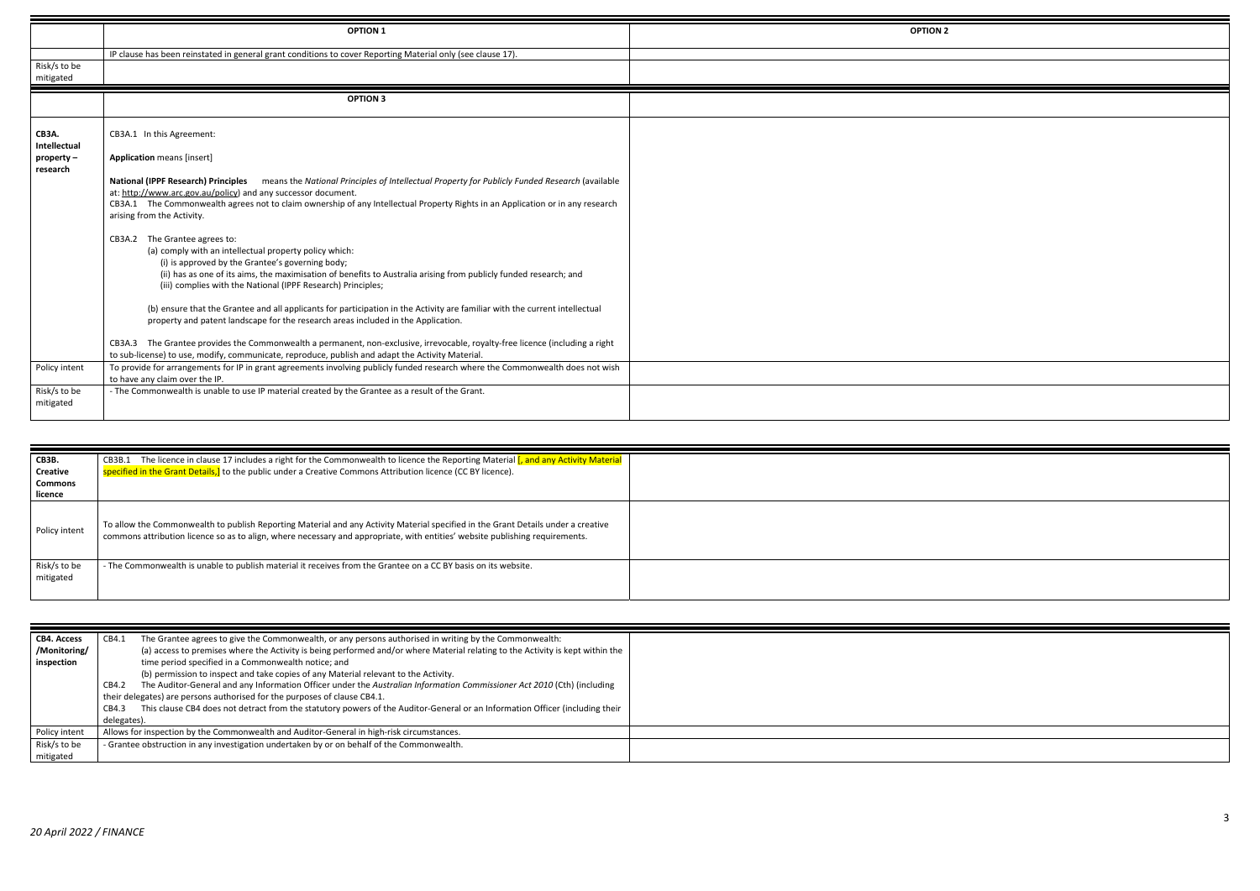|                                                               | <b>OPTION 1</b>                                                                                                                                                                                                                                                                                                                                                                                                                                                                                                                                                                                                                                                                       | <b>OPTION 2</b> |
|---------------------------------------------------------------|---------------------------------------------------------------------------------------------------------------------------------------------------------------------------------------------------------------------------------------------------------------------------------------------------------------------------------------------------------------------------------------------------------------------------------------------------------------------------------------------------------------------------------------------------------------------------------------------------------------------------------------------------------------------------------------|-----------------|
|                                                               | IP clause has been reinstated in general grant conditions to cover Reporting Material only (see clause 17).                                                                                                                                                                                                                                                                                                                                                                                                                                                                                                                                                                           |                 |
| Risk/s to be<br>mitigated                                     |                                                                                                                                                                                                                                                                                                                                                                                                                                                                                                                                                                                                                                                                                       |                 |
|                                                               | <b>OPTION 3</b>                                                                                                                                                                                                                                                                                                                                                                                                                                                                                                                                                                                                                                                                       |                 |
| <b>CB3A.</b><br><b>Intellectual</b><br>property -<br>research | CB3A.1 In this Agreement:<br><b>Application means [insert]</b><br><b>National (IPPF Research) Principles</b><br>means the National Principles of Intellectual Property for Publicly Funded Research (available<br>at: http://www.arc.gov.au/policy) and any successor document.<br>CB3A.1 The Commonwealth agrees not to claim ownership of any Intellectual Property Rights in an Application or in any research<br>arising from the Activity.                                                                                                                                                                                                                                       |                 |
|                                                               | CB3A.2 The Grantee agrees to:<br>(a) comply with an intellectual property policy which:<br>(i) is approved by the Grantee's governing body;<br>(ii) has as one of its aims, the maximisation of benefits to Australia arising from publicly funded research; and<br>(iii) complies with the National (IPPF Research) Principles;<br>(b) ensure that the Grantee and all applicants for participation in the Activity are familiar with the current intellectual<br>property and patent landscape for the research areas included in the Application.<br>CB3A.3 The Grantee provides the Commonwealth a permanent, non-exclusive, irrevocable, royalty-free licence (including a right |                 |
|                                                               | to sub-license) to use, modify, communicate, reproduce, publish and adapt the Activity Material.                                                                                                                                                                                                                                                                                                                                                                                                                                                                                                                                                                                      |                 |
| Policy intent                                                 | To provide for arrangements for IP in grant agreements involving publicly funded research where the Commonwealth does not wish<br>to have any claim over the IP.                                                                                                                                                                                                                                                                                                                                                                                                                                                                                                                      |                 |
| Risk/s to be<br>mitigated                                     | - The Commonwealth is unable to use IP material created by the Grantee as a result of the Grant.                                                                                                                                                                                                                                                                                                                                                                                                                                                                                                                                                                                      |                 |

| <b>CB3B.</b><br>Creative<br><b>Commons</b><br>licence | CB3B.1 The licence in clause 17 includes a right for the Commonwealth to licence the Reporting Material [, and any Activity Material<br>specified in the Grant Details, to the public under a Creative Commons Attribution licence (CC BY licence).               |  |
|-------------------------------------------------------|-------------------------------------------------------------------------------------------------------------------------------------------------------------------------------------------------------------------------------------------------------------------|--|
| Policy intent                                         | To allow the Commonwealth to publish Reporting Material and any Activity Material specified in the Grant Details under a creative<br>commons attribution licence so as to align, where necessary and appropriate, with entities' website publishing requirements. |  |
| Risk/s to be<br>mitigated                             | - The Commonwealth is unable to publish material it receives from the Grantee on a CC BY basis on its website.                                                                                                                                                    |  |

| <b>CB4. Access</b> | The Grantee agrees to give the Commonwealth, or any persons authorised in writing by the Commonwealth:<br>CB4.1                       |
|--------------------|---------------------------------------------------------------------------------------------------------------------------------------|
| /Monitoring/       | (a) access to premises where the Activity is being performed and/or where Material relating to the Activity is kept within the        |
| inspection         | time period specified in a Commonwealth notice; and                                                                                   |
|                    | (b) permission to inspect and take copies of any Material relevant to the Activity.                                                   |
|                    | The Auditor-General and any Information Officer under the Australian Information Commissioner Act 2010 (Cth) (including<br>CB4.2      |
|                    | their delegates) are persons authorised for the purposes of clause CB4.1.                                                             |
|                    | This clause CB4 does not detract from the statutory powers of the Auditor-General or an Information Officer (including their<br>CB4.3 |
|                    | delegates).                                                                                                                           |
| Policy intent      | Allows for inspection by the Commonwealth and Auditor-General in high-risk circumstances.                                             |
| Risk/s to be       | - Grantee obstruction in any investigation undertaken by or on behalf of the Commonwealth.                                            |
| mitigated          |                                                                                                                                       |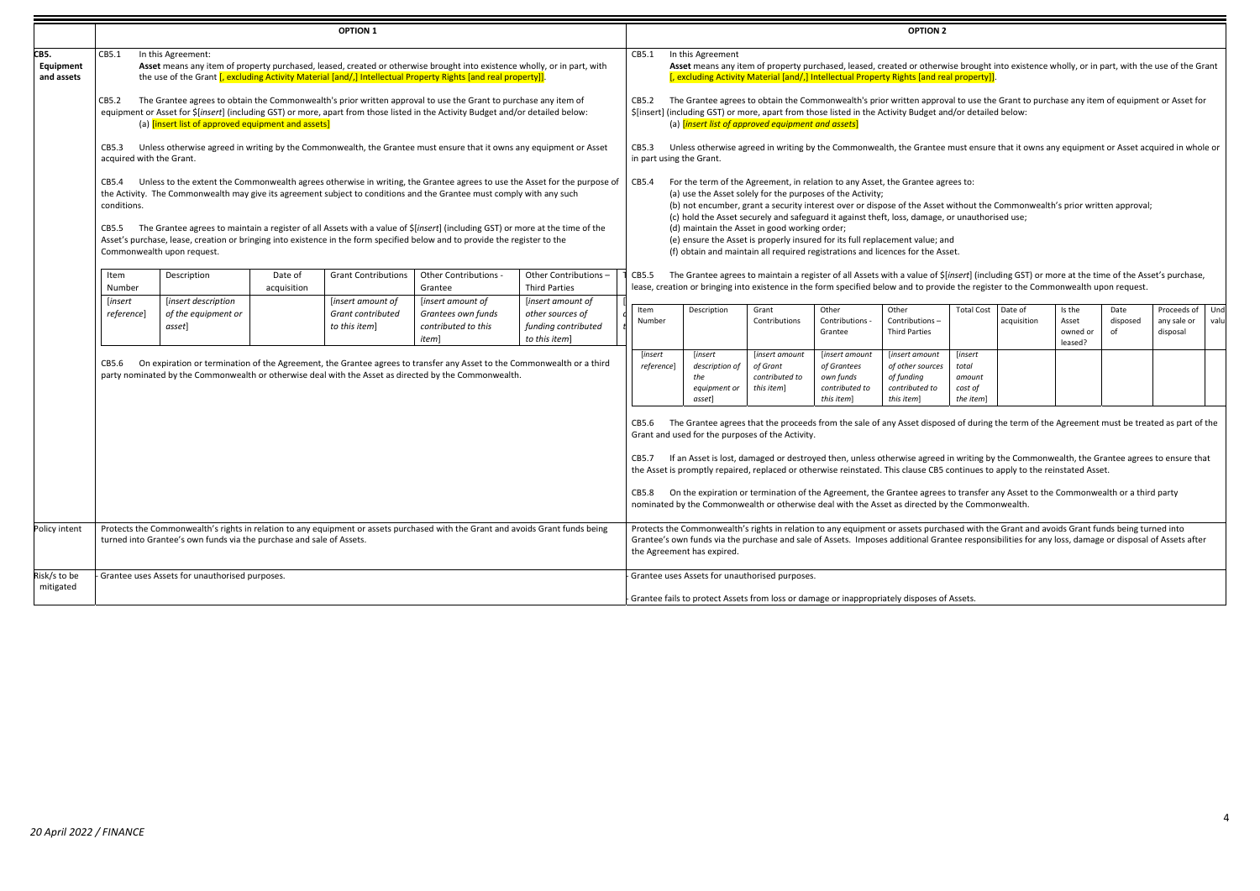|                                 |                                   |                                                                          |                        | <b>OPTION 1</b>                                         |                                                                                                                                                                                                                                                                                                                                                                                                                                                                                                   |                                                                                                                           |                                   |                                                            |                                                            |                                                                            | <b>OPTION 2</b>                                                                                                                                                                                                                                                                                                                                                                                                                                                                                                                                                                                                                                                        |                                                    |                        |                                        |                        |                                        |             |
|---------------------------------|-----------------------------------|--------------------------------------------------------------------------|------------------------|---------------------------------------------------------|---------------------------------------------------------------------------------------------------------------------------------------------------------------------------------------------------------------------------------------------------------------------------------------------------------------------------------------------------------------------------------------------------------------------------------------------------------------------------------------------------|---------------------------------------------------------------------------------------------------------------------------|-----------------------------------|------------------------------------------------------------|------------------------------------------------------------|----------------------------------------------------------------------------|------------------------------------------------------------------------------------------------------------------------------------------------------------------------------------------------------------------------------------------------------------------------------------------------------------------------------------------------------------------------------------------------------------------------------------------------------------------------------------------------------------------------------------------------------------------------------------------------------------------------------------------------------------------------|----------------------------------------------------|------------------------|----------------------------------------|------------------------|----------------------------------------|-------------|
| CB5.<br>Equipment<br>and assets | CB5.1<br>CB5.2                    | In this Agreement:<br>(a) [insert list of approved equipment and assets] |                        |                                                         | Asset means any item of property purchased, leased, created or otherwise brought into existence wholly, or in part, with<br>the use of the Grant [, excluding Activity Material [and/,] Intellectual Property Rights [and real property]].<br>The Grantee agrees to obtain the Commonwealth's prior written approval to use the Grant to purchase any item of<br>equipment or Asset for \$[insert] (including GST) or more, apart from those listed in the Activity Budget and/or detailed below: |                                                                                                                           | CB5.1<br>CB5.2                    | In this Agreement                                          | (a) <i>[insert list of approved equipment and assets]</i>  |                                                                            | Asset means any item of property purchased, leased, created or otherwise brought into existence wholly, or in part, with the use of the Grant<br>[, excluding Activity Material [and/,] Intellectual Property Rights [and real property]]<br>The Grantee agrees to obtain the Commonwealth's prior written approval to use the Grant to purchase any item of equipment or Asset for<br>\$[insert] (including GST) or more, apart from those listed in the Activity Budget and/or detailed below:                                                                                                                                                                       |                                                    |                        |                                        |                        |                                        |             |
|                                 | CB5.3<br>acquired with the Grant. |                                                                          |                        |                                                         | Unless otherwise agreed in writing by the Commonwealth, the Grantee must ensure that it owns any equipment or Asset                                                                                                                                                                                                                                                                                                                                                                               |                                                                                                                           | CB5.3<br>in part using the Grant. |                                                            |                                                            |                                                                            | Unless otherwise agreed in writing by the Commonwealth, the Grantee must ensure that it owns any equipment or Asset acquired in whole or                                                                                                                                                                                                                                                                                                                                                                                                                                                                                                                               |                                                    |                        |                                        |                        |                                        |             |
|                                 | CB5.4<br>conditions.<br>CB5.5     | Commonwealth upon request.                                               |                        |                                                         | the Activity. The Commonwealth may give its agreement subject to conditions and the Grantee must comply with any such<br>The Grantee agrees to maintain a register of all Assets with a value of \$[insert] (including GST) or more at the time of the<br>Asset's purchase, lease, creation or bringing into existence in the form specified below and to provide the register to the                                                                                                             | Unless to the extent the Commonwealth agrees otherwise in writing, the Grantee agrees to use the Asset for the purpose of | CB5.4                             |                                                            | (d) maintain the Asset in good working order;              | (a) use the Asset solely for the purposes of the Activity;                 | For the term of the Agreement, in relation to any Asset, the Grantee agrees to:<br>(b) not encumber, grant a security interest over or dispose of the Asset without the Commonwealth's prior written approval;<br>(c) hold the Asset securely and safeguard it against theft, loss, damage, or unauthorised use;<br>(e) ensure the Asset is properly insured for its full replacement value; and<br>(f) obtain and maintain all required registrations and licences for the Asset.                                                                                                                                                                                     |                                                    |                        |                                        |                        |                                        |             |
|                                 | Item<br>Number                    | Description                                                              | Date of<br>acquisition | <b>Grant Contributions</b>                              | Other Contributions -<br>Grantee                                                                                                                                                                                                                                                                                                                                                                                                                                                                  | Other Contributions -<br><b>Third Parties</b>                                                                             | CB5.5                             |                                                            |                                                            |                                                                            | The Grantee agrees to maintain a register of all Assets with a value of \$[insert] (including GST) or more at the time of the Asset's purchase,<br>lease, creation or bringing into existence in the form specified below and to provide the register to the Commonwealth upon request.                                                                                                                                                                                                                                                                                                                                                                                |                                                    |                        |                                        |                        |                                        |             |
|                                 | [insert<br><i>reference</i>       | [insert description<br>of the equipment or<br>asset]                     |                        | [insert amount of<br>Grant contributed<br>to this item] | [insert amount of<br>Grantees own funds<br>contributed to this<br>item]                                                                                                                                                                                                                                                                                                                                                                                                                           | [insert amount of<br>other sources of<br>funding contributed<br>to this item]                                             | Item<br>Number                    | Description                                                | Grant<br>Contributions                                     | Other<br>Contributions -<br>Grantee                                        | Other<br>Contributions-<br><b>Third Parties</b>                                                                                                                                                                                                                                                                                                                                                                                                                                                                                                                                                                                                                        | <b>Total Cost</b>                                  | Date of<br>acquisition | Is the<br>Asset<br>owned or<br>leased? | Date<br>disposed<br>of | Proceeds of<br>any sale or<br>disposal | Und<br>valu |
|                                 | CB5.6                             |                                                                          |                        |                                                         | On expiration or termination of the Agreement, the Grantee agrees to transfer any Asset to the Commonwealth or a third<br>party nominated by the Commonwealth or otherwise deal with the Asset as directed by the Commonwealth.                                                                                                                                                                                                                                                                   |                                                                                                                           | [insert<br><i>reference</i> ]     | [insert<br>description of<br>the<br>equipment or<br>asset] | [insert amount<br>of Grant<br>contributed to<br>this item] | [insert amount<br>of Grantees<br>own funds<br>contributed to<br>this item] | [insert amount<br>of other sources<br>of funding<br>contributed to<br>this item]                                                                                                                                                                                                                                                                                                                                                                                                                                                                                                                                                                                       | [insert<br>total<br>amount<br>cost of<br>the item] |                        |                                        |                        |                                        |             |
|                                 |                                   |                                                                          |                        |                                                         |                                                                                                                                                                                                                                                                                                                                                                                                                                                                                                   |                                                                                                                           | CB5.6<br>CB5.7                    |                                                            | Grant and used for the purposes of the Activity.           |                                                                            | The Grantee agrees that the proceeds from the sale of any Asset disposed of during the term of the Agreement must be treated as part of the<br>If an Asset is lost, damaged or destroyed then, unless otherwise agreed in writing by the Commonwealth, the Grantee agrees to ensure that<br>the Asset is promptly repaired, replaced or otherwise reinstated. This clause CB5 continues to apply to the reinstated Asset.<br>CB5.8 On the expiration or termination of the Agreement, the Grantee agrees to transfer any Asset to the Commonwealth or a third party<br>nominated by the Commonwealth or otherwise deal with the Asset as directed by the Commonwealth. |                                                    |                        |                                        |                        |                                        |             |
| Policy intent                   |                                   | turned into Grantee's own funds via the purchase and sale of Assets.     |                        |                                                         | Protects the Commonwealth's rights in relation to any equipment or assets purchased with the Grant and avoids Grant funds being                                                                                                                                                                                                                                                                                                                                                                   |                                                                                                                           |                                   | the Agreement has expired.                                 |                                                            |                                                                            | Protects the Commonwealth's rights in relation to any equipment or assets purchased with the Grant and avoids Grant funds being turned into<br>Grantee's own funds via the purchase and sale of Assets. Imposes additional Grantee responsibilities for any loss, damage or disposal of Assets after                                                                                                                                                                                                                                                                                                                                                                   |                                                    |                        |                                        |                        |                                        |             |
| Risk/s to be<br>mitigated       |                                   | - Grantee uses Assets for unauthorised purposes.                         |                        |                                                         |                                                                                                                                                                                                                                                                                                                                                                                                                                                                                                   |                                                                                                                           |                                   |                                                            | Grantee uses Assets for unauthorised purposes.             |                                                                            | Grantee fails to protect Assets from loss or damage or inappropriately disposes of Assets.                                                                                                                                                                                                                                                                                                                                                                                                                                                                                                                                                                             |                                                    |                        |                                        |                        |                                        |             |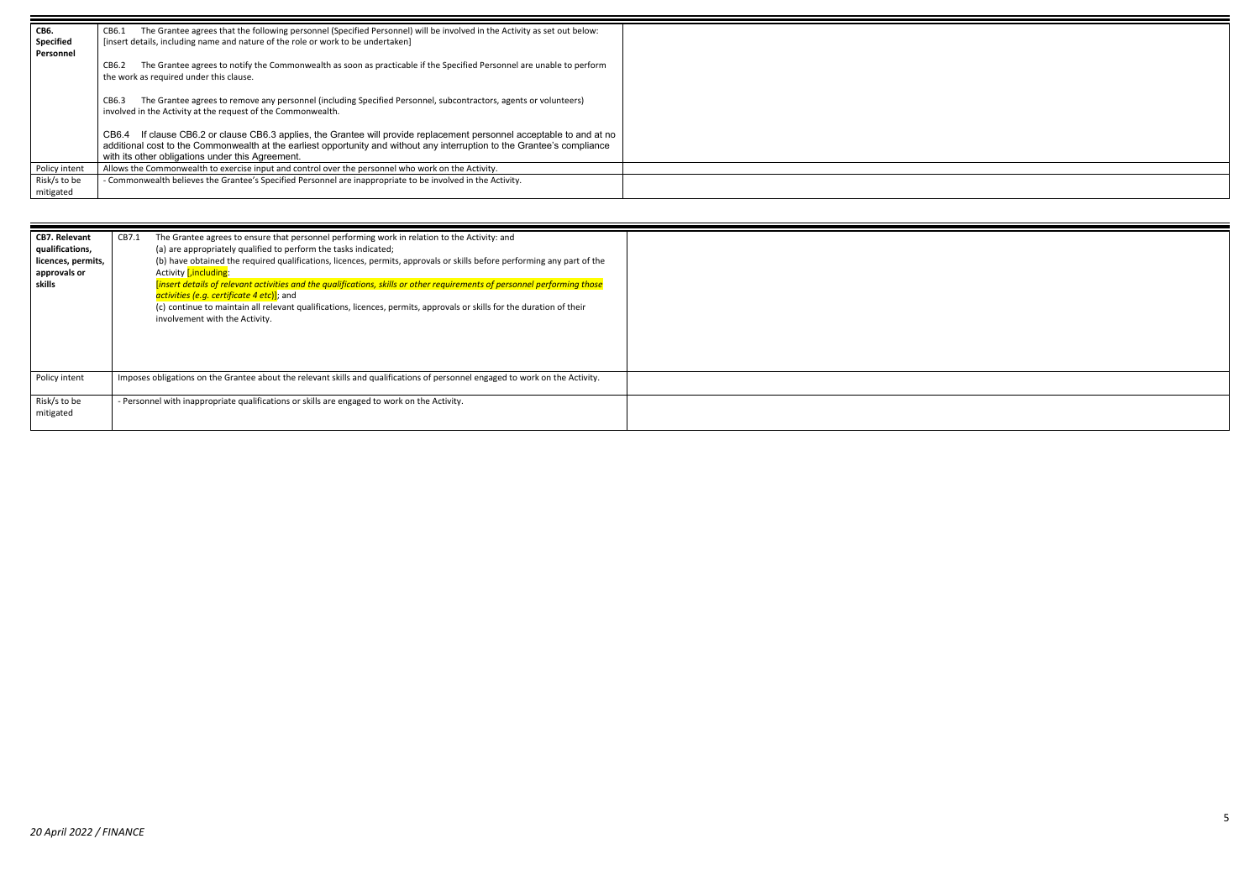

| CB6.                          | The Grantee agrees that the following personnel (Specified Personnel) will be involved in the Activity as set out below:<br>CB6.1                                                                                                                                                                        |
|-------------------------------|----------------------------------------------------------------------------------------------------------------------------------------------------------------------------------------------------------------------------------------------------------------------------------------------------------|
| <b>Specified</b><br>Personnel | [insert details, including name and nature of the role or work to be undertaken]                                                                                                                                                                                                                         |
|                               | The Grantee agrees to notify the Commonwealth as soon as practicable if the Specified Personnel are unable to perform<br>CB6.2<br>the work as required under this clause.                                                                                                                                |
|                               | The Grantee agrees to remove any personnel (including Specified Personnel, subcontractors, agents or volunteers)<br>CB6.3<br>involved in the Activity at the request of the Commonwealth.                                                                                                                |
|                               | If clause CB6.2 or clause CB6.3 applies, the Grantee will provide replacement personnel acceptable to and at no<br>CB6.4<br>additional cost to the Commonwealth at the earliest opportunity and without any interruption to the Grantee's compliance<br>with its other obligations under this Agreement. |
| Policy intent                 | Allows the Commonwealth to exercise input and control over the personnel who work on the Activity.                                                                                                                                                                                                       |
| Risk/s to be                  | - Commonwealth believes the Grantee's Specified Personnel are inappropriate to be involved in the Activity.                                                                                                                                                                                              |
| mitigated                     |                                                                                                                                                                                                                                                                                                          |

| <b>CB7. Relevant</b><br>qualifications,<br>licences, permits,<br>approvals or<br>skills | CB7.1<br>The Grantee agrees to ensure that personnel performing work in relation to the Activity: and<br>(a) are appropriately qualified to perform the tasks indicated;<br>(b) have obtained the required qualifications, licences, permits, approvals or skills before performing any part of the<br>Activity <i>[,including:</i><br>[insert details of relevant activities and the qualifications, skills or other requirements of personnel performing those<br>activities (e.g. certificate 4 etc)]; and<br>(c) continue to maintain all relevant qualifications, licences, permits, approvals or skills for the duration of their<br>involvement with the Activity. |
|-----------------------------------------------------------------------------------------|---------------------------------------------------------------------------------------------------------------------------------------------------------------------------------------------------------------------------------------------------------------------------------------------------------------------------------------------------------------------------------------------------------------------------------------------------------------------------------------------------------------------------------------------------------------------------------------------------------------------------------------------------------------------------|
| Policy intent                                                                           | Imposes obligations on the Grantee about the relevant skills and qualifications of personnel engaged to work on the Activity.                                                                                                                                                                                                                                                                                                                                                                                                                                                                                                                                             |
| Risk/s to be<br>mitigated                                                               | - Personnel with inappropriate qualifications or skills are engaged to work on the Activity.                                                                                                                                                                                                                                                                                                                                                                                                                                                                                                                                                                              |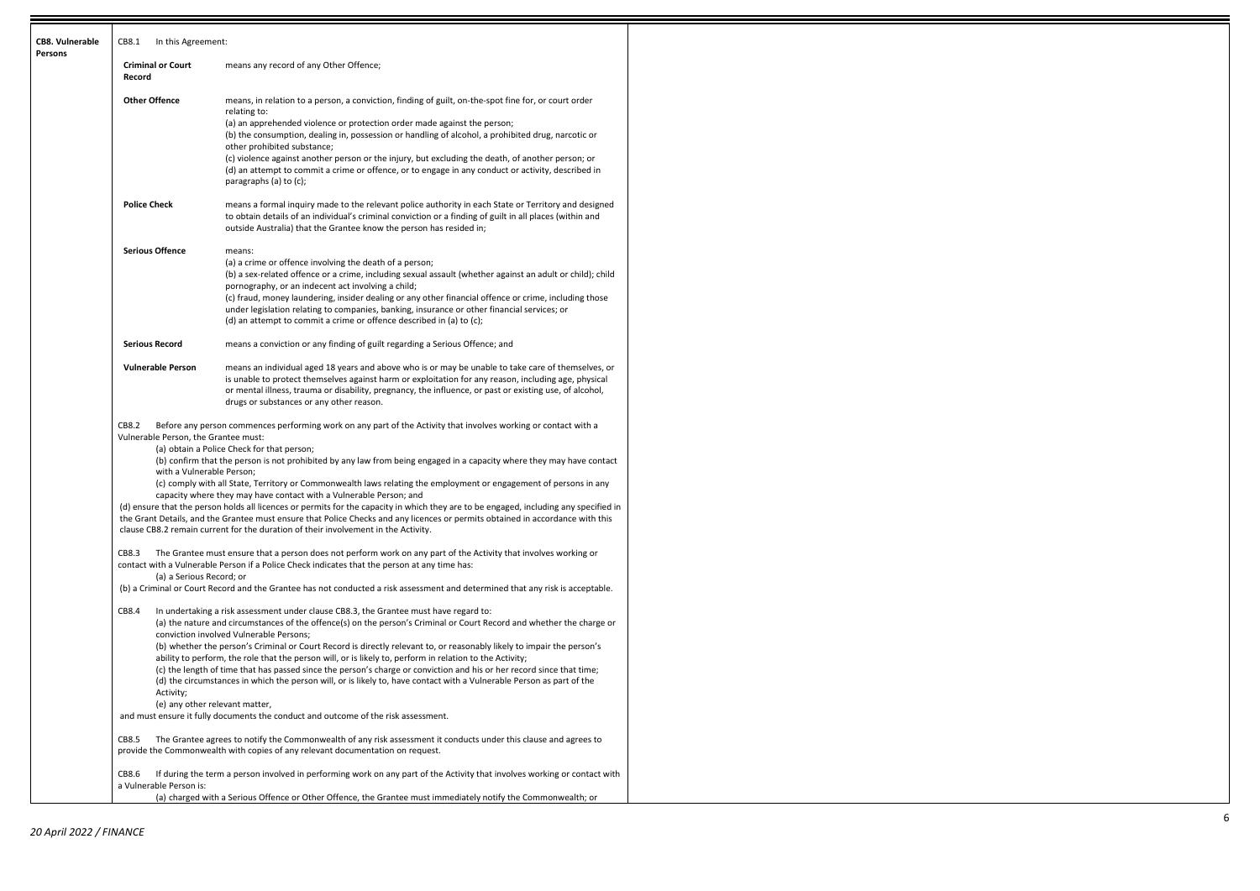6

| <b>CB8. Vulnerable</b><br><b>Persons</b> | CB8.1<br>In this Agreement:                                                |                                                                                                                                                                                                                                                                                                                                                                                                                                                                                                                                                                                                                                                                                                                                                                                                                                                    |  |  |
|------------------------------------------|----------------------------------------------------------------------------|----------------------------------------------------------------------------------------------------------------------------------------------------------------------------------------------------------------------------------------------------------------------------------------------------------------------------------------------------------------------------------------------------------------------------------------------------------------------------------------------------------------------------------------------------------------------------------------------------------------------------------------------------------------------------------------------------------------------------------------------------------------------------------------------------------------------------------------------------|--|--|
|                                          | <b>Criminal or Court</b><br>Record                                         | means any record of any Other Offence;                                                                                                                                                                                                                                                                                                                                                                                                                                                                                                                                                                                                                                                                                                                                                                                                             |  |  |
|                                          | <b>Other Offence</b>                                                       | means, in relation to a person, a conviction, finding of guilt, on-the-spot fine for, or court order<br>relating to:<br>(a) an apprehended violence or protection order made against the person;<br>(b) the consumption, dealing in, possession or handling of alcohol, a prohibited drug, narcotic or<br>other prohibited substance;<br>(c) violence against another person or the injury, but excluding the death, of another person; or<br>(d) an attempt to commit a crime or offence, or to engage in any conduct or activity, described in<br>paragraphs (a) to (c);                                                                                                                                                                                                                                                                         |  |  |
|                                          | <b>Police Check</b>                                                        | means a formal inquiry made to the relevant police authority in each State or Territory and designed<br>to obtain details of an individual's criminal conviction or a finding of guilt in all places (within and<br>outside Australia) that the Grantee know the person has resided in;                                                                                                                                                                                                                                                                                                                                                                                                                                                                                                                                                            |  |  |
|                                          | <b>Serious Offence</b>                                                     | means:<br>(a) a crime or offence involving the death of a person;<br>(b) a sex-related offence or a crime, including sexual assault (whether against an adult or child); child<br>pornography, or an indecent act involving a child;<br>(c) fraud, money laundering, insider dealing or any other financial offence or crime, including those<br>under legislation relating to companies, banking, insurance or other financial services; or<br>(d) an attempt to commit a crime or offence described in (a) to (c);                                                                                                                                                                                                                                                                                                                               |  |  |
|                                          | <b>Serious Record</b>                                                      | means a conviction or any finding of guilt regarding a Serious Offence; and                                                                                                                                                                                                                                                                                                                                                                                                                                                                                                                                                                                                                                                                                                                                                                        |  |  |
|                                          | <b>Vulnerable Person</b>                                                   | means an individual aged 18 years and above who is or may be unable to take care of themselves, or<br>is unable to protect themselves against harm or exploitation for any reason, including age, physical<br>or mental illness, trauma or disability, pregnancy, the influence, or past or existing use, of alcohol,<br>drugs or substances or any other reason.                                                                                                                                                                                                                                                                                                                                                                                                                                                                                  |  |  |
|                                          | CB8.2<br>Vulnerable Person, the Grantee must:<br>with a Vulnerable Person; | Before any person commences performing work on any part of the Activity that involves working or contact with a<br>(a) obtain a Police Check for that person;<br>(b) confirm that the person is not prohibited by any law from being engaged in a capacity where they may have contact<br>(c) comply with all State, Territory or Commonwealth laws relating the employment or engagement of persons in any<br>capacity where they may have contact with a Vulnerable Person; and<br>(d) ensure that the person holds all licences or permits for the capacity in which they are to be engaged, including any specified in<br>the Grant Details, and the Grantee must ensure that Police Checks and any licences or permits obtained in accordance with this<br>clause CB8.2 remain current for the duration of their involvement in the Activity. |  |  |
|                                          | CB8.3<br>(a) a Serious Record; or                                          | The Grantee must ensure that a person does not perform work on any part of the Activity that involves working or<br>contact with a Vulnerable Person if a Police Check indicates that the person at any time has:                                                                                                                                                                                                                                                                                                                                                                                                                                                                                                                                                                                                                                  |  |  |
|                                          | CB8.4                                                                      | (b) a Criminal or Court Record and the Grantee has not conducted a risk assessment and determined that any risk is acceptable.<br>In undertaking a risk assessment under clause CB8.3, the Grantee must have regard to:<br>(a) the nature and circumstances of the offence(s) on the person's Criminal or Court Record and whether the charge or<br>conviction involved Vulnerable Persons;<br>(b) whether the person's Criminal or Court Record is directly relevant to, or reasonably likely to impair the person's<br>ability to perform, the role that the person will, or is likely to, perform in relation to the Activity;                                                                                                                                                                                                                  |  |  |
|                                          | Activity;                                                                  | (c) the length of time that has passed since the person's charge or conviction and his or her record since that time;<br>(d) the circumstances in which the person will, or is likely to, have contact with a Vulnerable Person as part of the<br>(e) any other relevant matter,<br>and must ensure it fully documents the conduct and outcome of the risk assessment.                                                                                                                                                                                                                                                                                                                                                                                                                                                                             |  |  |
|                                          | CB8.5                                                                      | The Grantee agrees to notify the Commonwealth of any risk assessment it conducts under this clause and agrees to<br>provide the Commonwealth with copies of any relevant documentation on request.                                                                                                                                                                                                                                                                                                                                                                                                                                                                                                                                                                                                                                                 |  |  |
|                                          | CB8.6<br>a Vulnerable Person is:                                           | If during the term a person involved in performing work on any part of the Activity that involves working or contact with                                                                                                                                                                                                                                                                                                                                                                                                                                                                                                                                                                                                                                                                                                                          |  |  |
|                                          |                                                                            | (a) charged with a Serious Offence or Other Offence, the Grantee must immediately notify the Commonwealth; or                                                                                                                                                                                                                                                                                                                                                                                                                                                                                                                                                                                                                                                                                                                                      |  |  |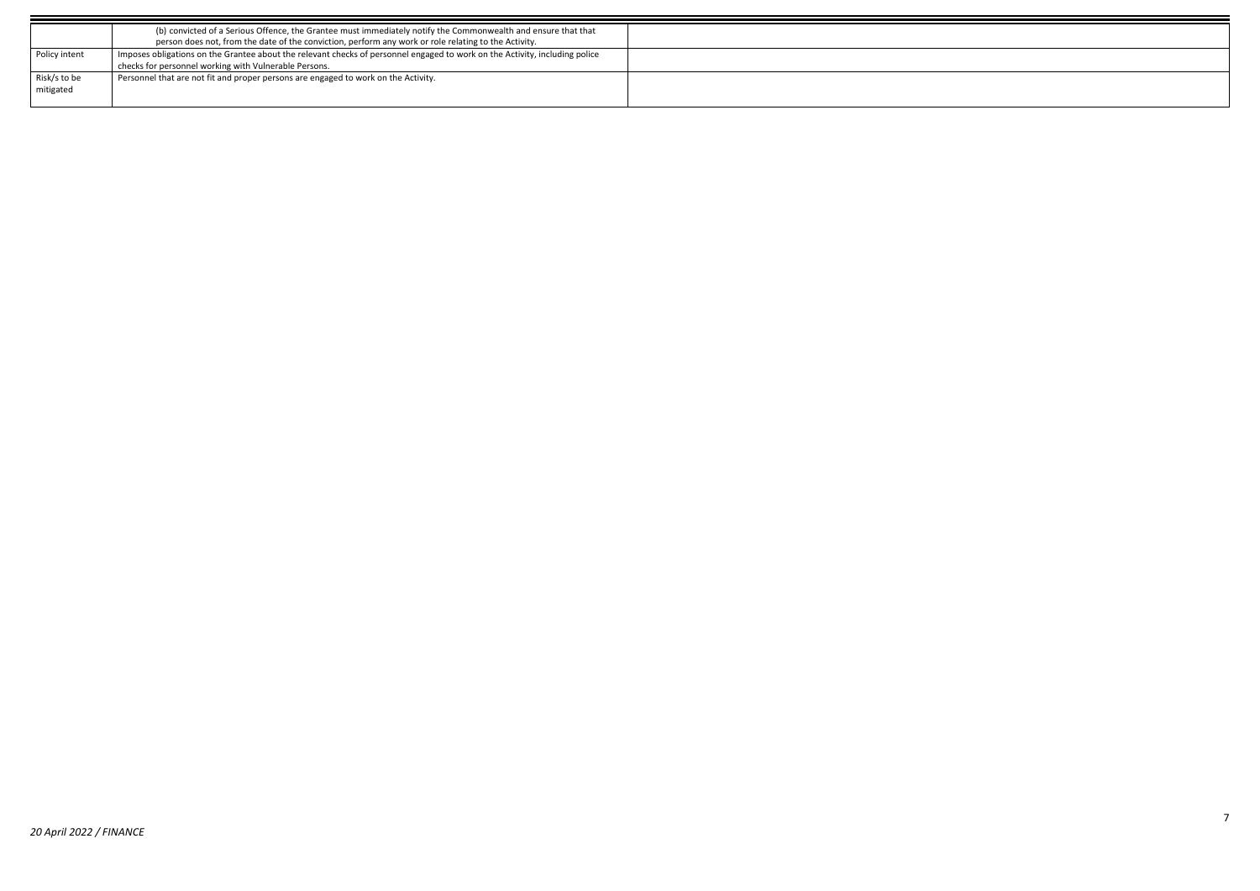|               | (b) convicted of a Serious Offence, the Grantee must immediately notify the Commonwealth and ensure that that               |
|---------------|-----------------------------------------------------------------------------------------------------------------------------|
|               | person does not, from the date of the conviction, perform any work or role relating to the Activity.                        |
| Policy intent | Imposes obligations on the Grantee about the relevant checks of personnel engaged to work on the Activity, including police |
|               | checks for personnel working with Vulnerable Persons.                                                                       |
| Risk/s to be  | Personnel that are not fit and proper persons are engaged to work on the Activity.                                          |
| mitigated     |                                                                                                                             |
|               |                                                                                                                             |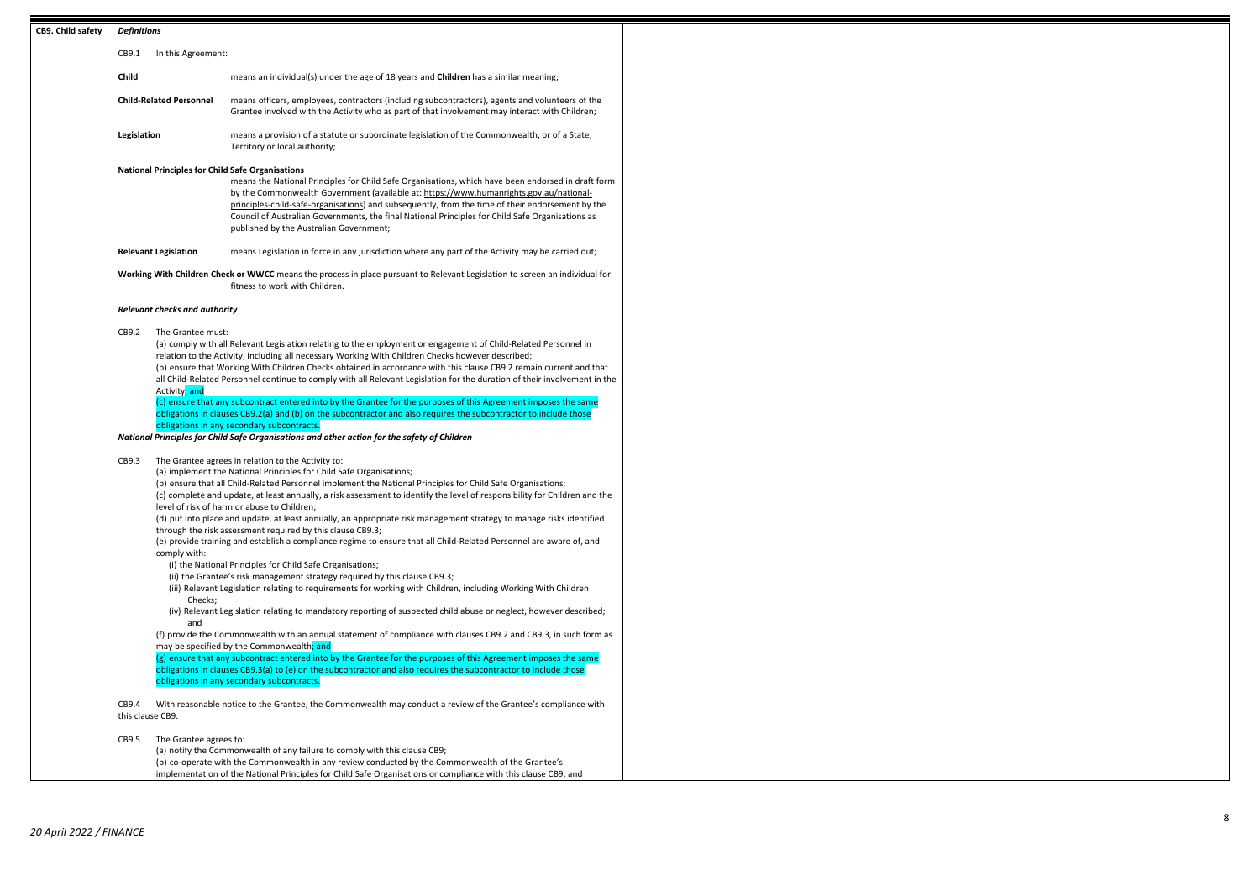8

| CB9. Child safety                                                                                                                                                                                                                                                                  | <b>Definitions</b>              |                                                                                                                                                                                                                                                                                                                                                                                                                                                                                                                                                                                                                                                                                                                                                                                                                                                                                                                                                                                                                                                                                                                                                                                                                                                                                                                                                                                                                                                                                                                                                                             |
|------------------------------------------------------------------------------------------------------------------------------------------------------------------------------------------------------------------------------------------------------------------------------------|---------------------------------|-----------------------------------------------------------------------------------------------------------------------------------------------------------------------------------------------------------------------------------------------------------------------------------------------------------------------------------------------------------------------------------------------------------------------------------------------------------------------------------------------------------------------------------------------------------------------------------------------------------------------------------------------------------------------------------------------------------------------------------------------------------------------------------------------------------------------------------------------------------------------------------------------------------------------------------------------------------------------------------------------------------------------------------------------------------------------------------------------------------------------------------------------------------------------------------------------------------------------------------------------------------------------------------------------------------------------------------------------------------------------------------------------------------------------------------------------------------------------------------------------------------------------------------------------------------------------------|
|                                                                                                                                                                                                                                                                                    | CB9.1<br>In this Agreement:     |                                                                                                                                                                                                                                                                                                                                                                                                                                                                                                                                                                                                                                                                                                                                                                                                                                                                                                                                                                                                                                                                                                                                                                                                                                                                                                                                                                                                                                                                                                                                                                             |
|                                                                                                                                                                                                                                                                                    | Child                           | means an individual(s) under the age of 18 years and <b>Children</b> has a similar meaning;                                                                                                                                                                                                                                                                                                                                                                                                                                                                                                                                                                                                                                                                                                                                                                                                                                                                                                                                                                                                                                                                                                                                                                                                                                                                                                                                                                                                                                                                                 |
|                                                                                                                                                                                                                                                                                    | <b>Child-Related Personnel</b>  | means officers, employees, contractors (including subcontractors), agents and volunteers of the<br>Grantee involved with the Activity who as part of that involvement may interact with Children;                                                                                                                                                                                                                                                                                                                                                                                                                                                                                                                                                                                                                                                                                                                                                                                                                                                                                                                                                                                                                                                                                                                                                                                                                                                                                                                                                                           |
|                                                                                                                                                                                                                                                                                    | Legislation                     | means a provision of a statute or subordinate legislation of the Commonwealth, or of a State,<br>Territory or local authority;                                                                                                                                                                                                                                                                                                                                                                                                                                                                                                                                                                                                                                                                                                                                                                                                                                                                                                                                                                                                                                                                                                                                                                                                                                                                                                                                                                                                                                              |
| <b>National Principles for Child Safe Organisations</b>                                                                                                                                                                                                                            |                                 | means the National Principles for Child Safe Organisations, which have been endorsed in draft form<br>by the Commonwealth Government (available at: https://www.humanrights.gov.au/national-<br>principles-child-safe-organisations) and subsequently, from the time of their endorsement by the<br>Council of Australian Governments, the final National Principles for Child Safe Organisations as<br>published by the Australian Government;                                                                                                                                                                                                                                                                                                                                                                                                                                                                                                                                                                                                                                                                                                                                                                                                                                                                                                                                                                                                                                                                                                                             |
|                                                                                                                                                                                                                                                                                    | <b>Relevant Legislation</b>     | means Legislation in force in any jurisdiction where any part of the Activity may be carried out;                                                                                                                                                                                                                                                                                                                                                                                                                                                                                                                                                                                                                                                                                                                                                                                                                                                                                                                                                                                                                                                                                                                                                                                                                                                                                                                                                                                                                                                                           |
|                                                                                                                                                                                                                                                                                    |                                 | Working With Children Check or WWCC means the process in place pursuant to Relevant Legislation to screen an individual for<br>fitness to work with Children.                                                                                                                                                                                                                                                                                                                                                                                                                                                                                                                                                                                                                                                                                                                                                                                                                                                                                                                                                                                                                                                                                                                                                                                                                                                                                                                                                                                                               |
|                                                                                                                                                                                                                                                                                    | Relevant checks and authority   |                                                                                                                                                                                                                                                                                                                                                                                                                                                                                                                                                                                                                                                                                                                                                                                                                                                                                                                                                                                                                                                                                                                                                                                                                                                                                                                                                                                                                                                                                                                                                                             |
| CB9.2<br>The Grantee must:<br>Activity; and                                                                                                                                                                                                                                        |                                 | (a) comply with all Relevant Legislation relating to the employment or engagement of Child-Related Personnel in<br>relation to the Activity, including all necessary Working With Children Checks however described;<br>(b) ensure that Working With Children Checks obtained in accordance with this clause CB9.2 remain current and that<br>all Child-Related Personnel continue to comply with all Relevant Legislation for the duration of their involvement in the                                                                                                                                                                                                                                                                                                                                                                                                                                                                                                                                                                                                                                                                                                                                                                                                                                                                                                                                                                                                                                                                                                     |
| (c) ensure that any subcontract entered into by the Grantee for the purposes of this Agreement imposes the same<br>obligations in clauses CB9.2(a) and (b) on the subcontractor and also requires the subcontractor to include those<br>obligations in any secondary subcontracts. |                                 |                                                                                                                                                                                                                                                                                                                                                                                                                                                                                                                                                                                                                                                                                                                                                                                                                                                                                                                                                                                                                                                                                                                                                                                                                                                                                                                                                                                                                                                                                                                                                                             |
|                                                                                                                                                                                                                                                                                    |                                 | National Principles for Child Safe Organisations and other action for the safety of Children                                                                                                                                                                                                                                                                                                                                                                                                                                                                                                                                                                                                                                                                                                                                                                                                                                                                                                                                                                                                                                                                                                                                                                                                                                                                                                                                                                                                                                                                                |
| CB9.3<br>comply with:<br>Checks;<br>and                                                                                                                                                                                                                                            |                                 | The Grantee agrees in relation to the Activity to:<br>(a) implement the National Principles for Child Safe Organisations;<br>(b) ensure that all Child-Related Personnel implement the National Principles for Child Safe Organisations;<br>(c) complete and update, at least annually, a risk assessment to identify the level of responsibility for Children and the<br>level of risk of harm or abuse to Children;<br>(d) put into place and update, at least annually, an appropriate risk management strategy to manage risks identified<br>through the risk assessment required by this clause CB9.3;<br>(e) provide training and establish a compliance regime to ensure that all Child-Related Personnel are aware of, and<br>(i) the National Principles for Child Safe Organisations;<br>(ii) the Grantee's risk management strategy required by this clause CB9.3;<br>(iii) Relevant Legislation relating to requirements for working with Children, including Working With Children<br>(iv) Relevant Legislation relating to mandatory reporting of suspected child abuse or neglect, however described;<br>(f) provide the Commonwealth with an annual statement of compliance with clauses CB9.2 and CB9.3, in such form as<br>may be specified by the Commonwealth; and<br>(g) ensure that any subcontract entered into by the Grantee for the purposes of this Agreement imposes the same<br>obligations in clauses CB9.3(a) to (e) on the subcontractor and also requires the subcontractor to include those<br>obligations in any secondary subcontracts. |
|                                                                                                                                                                                                                                                                                    | CB9.4<br>this clause CB9.       | With reasonable notice to the Grantee, the Commonwealth may conduct a review of the Grantee's compliance with                                                                                                                                                                                                                                                                                                                                                                                                                                                                                                                                                                                                                                                                                                                                                                                                                                                                                                                                                                                                                                                                                                                                                                                                                                                                                                                                                                                                                                                               |
|                                                                                                                                                                                                                                                                                    | CB9.5<br>The Grantee agrees to: | (a) notify the Commonwealth of any failure to comply with this clause CB9;<br>(b) co-operate with the Commonwealth in any review conducted by the Commonwealth of the Grantee's<br>implementation of the National Principles for Child Safe Organisations or compliance with this clause CB9; and                                                                                                                                                                                                                                                                                                                                                                                                                                                                                                                                                                                                                                                                                                                                                                                                                                                                                                                                                                                                                                                                                                                                                                                                                                                                           |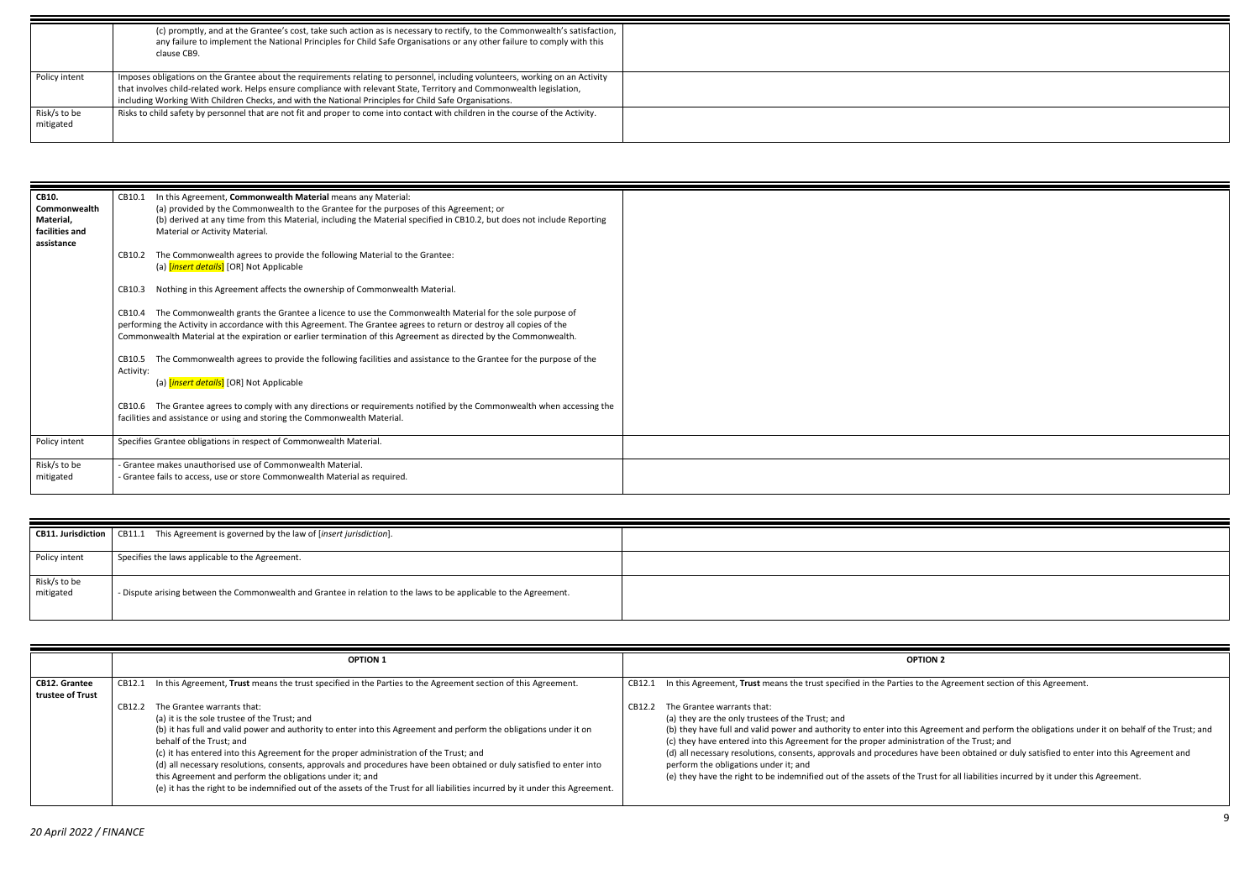greement section of this Agreement.

hent and perform the obligations under it on behalf of the Trust; and of the Trust; and

een obtained or duly satisfied to enter into this Agreement and

r all liabilities incurred by it under this Agreement.

| CB10.          | In this Agreement, Commonwealth Material means any Material:<br>CB10.1                                                     |  |
|----------------|----------------------------------------------------------------------------------------------------------------------------|--|
| Commonwealth   | (a) provided by the Commonwealth to the Grantee for the purposes of this Agreement; or                                     |  |
| Material,      | (b) derived at any time from this Material, including the Material specified in CB10.2, but does not include Reporting     |  |
| facilities and | Material or Activity Material.                                                                                             |  |
| assistance     |                                                                                                                            |  |
|                | The Commonwealth agrees to provide the following Material to the Grantee:<br>CB10.2                                        |  |
|                | (a) [insert details] [OR] Not Applicable                                                                                   |  |
|                |                                                                                                                            |  |
|                | CB10.3                                                                                                                     |  |
|                | Nothing in this Agreement affects the ownership of Commonwealth Material.                                                  |  |
|                |                                                                                                                            |  |
|                | The Commonwealth grants the Grantee a licence to use the Commonwealth Material for the sole purpose of<br>CB10.4           |  |
|                | performing the Activity in accordance with this Agreement. The Grantee agrees to return or destroy all copies of the       |  |
|                | Commonwealth Material at the expiration or earlier termination of this Agreement as directed by the Commonwealth.          |  |
|                |                                                                                                                            |  |
|                | The Commonwealth agrees to provide the following facilities and assistance to the Grantee for the purpose of the<br>CB10.5 |  |
|                | Activity:                                                                                                                  |  |
|                | (a) [insert details] [OR] Not Applicable                                                                                   |  |
|                |                                                                                                                            |  |
|                | The Grantee agrees to comply with any directions or requirements notified by the Commonwealth when accessing the<br>CB10.6 |  |
|                | facilities and assistance or using and storing the Commonwealth Material.                                                  |  |
|                |                                                                                                                            |  |
| Policy intent  | Specifies Grantee obligations in respect of Commonwealth Material.                                                         |  |
|                |                                                                                                                            |  |
| Risk/s to be   | - Grantee makes unauthorised use of Commonwealth Material.                                                                 |  |
|                |                                                                                                                            |  |
| mitigated      | - Grantee fails to access, use or store Commonwealth Material as required.                                                 |  |
|                |                                                                                                                            |  |

| <b>CB11. Jurisdiction</b> | CB11.1 This Agreement is governed by the law of [insert jurisdiction].                                            |  |
|---------------------------|-------------------------------------------------------------------------------------------------------------------|--|
|                           |                                                                                                                   |  |
| Policy intent             | Specifies the laws applicable to the Agreement.                                                                   |  |
|                           |                                                                                                                   |  |
| Risk/s to be              |                                                                                                                   |  |
| mitigated                 | - Dispute arising between the Commonwealth and Grantee in relation to the laws to be applicable to the Agreement. |  |
|                           |                                                                                                                   |  |
|                           |                                                                                                                   |  |

|                                          |        | <b>OPTION 1</b>                                                                                                                                                                                                                                                                                                                                                                                                                                                                                                                                                                                                                              |        | <b>OPTION 2</b>                                                                                                                                                                                                                                                                                                                                                                                                                                  |
|------------------------------------------|--------|----------------------------------------------------------------------------------------------------------------------------------------------------------------------------------------------------------------------------------------------------------------------------------------------------------------------------------------------------------------------------------------------------------------------------------------------------------------------------------------------------------------------------------------------------------------------------------------------------------------------------------------------|--------|--------------------------------------------------------------------------------------------------------------------------------------------------------------------------------------------------------------------------------------------------------------------------------------------------------------------------------------------------------------------------------------------------------------------------------------------------|
| <b>CB12. Grantee</b><br>trustee of Trust | CB12.1 | In this Agreement, Trust means the trust specified in the Parties to the Agreement section of this Agreement.                                                                                                                                                                                                                                                                                                                                                                                                                                                                                                                                | CB12.1 | In this Agreement, Trust means the trust specified in the Parties to the Ag                                                                                                                                                                                                                                                                                                                                                                      |
|                                          | CB12.2 | The Grantee warrants that:<br>(a) it is the sole trustee of the Trust; and<br>(b) it has full and valid power and authority to enter into this Agreement and perform the obligations under it on<br>behalf of the Trust; and<br>(c) it has entered into this Agreement for the proper administration of the Trust; and<br>(d) all necessary resolutions, consents, approvals and procedures have been obtained or duly satisfied to enter into<br>this Agreement and perform the obligations under it; and<br>(e) it has the right to be indemnified out of the assets of the Trust for all liabilities incurred by it under this Agreement. | CB12.2 | The Grantee warrants that:<br>(a) they are the only trustees of the Trust; and<br>(b) they have full and valid power and authority to enter into this Agreem<br>(c) they have entered into this Agreement for the proper administration of<br>(d) all necessary resolutions, consents, approvals and procedures have be<br>perform the obligations under it; and<br>(e) they have the right to be indemnified out of the assets of the Trust for |

|               | (c) promptly, and at the Grantee's cost, take such action as is necessary to rectify, to the Commonwealth's satisfaction,        |  |
|---------------|----------------------------------------------------------------------------------------------------------------------------------|--|
|               | any failure to implement the National Principles for Child Safe Organisations or any other failure to comply with this           |  |
|               | clause CB9.                                                                                                                      |  |
|               |                                                                                                                                  |  |
| Policy intent | Imposes obligations on the Grantee about the requirements relating to personnel, including volunteers, working on an Activity    |  |
|               | that involves child-related work. Helps ensure compliance with relevant State, Territory and Commonwealth legislation,           |  |
|               | including Working With Children Checks, and with the National Principles for Child Safe Organisations.                           |  |
| Risk/s to be  | Risks to child safety by personnel that are not fit and proper to come into contact with children in the course of the Activity. |  |
| mitigated     |                                                                                                                                  |  |
|               |                                                                                                                                  |  |
|               |                                                                                                                                  |  |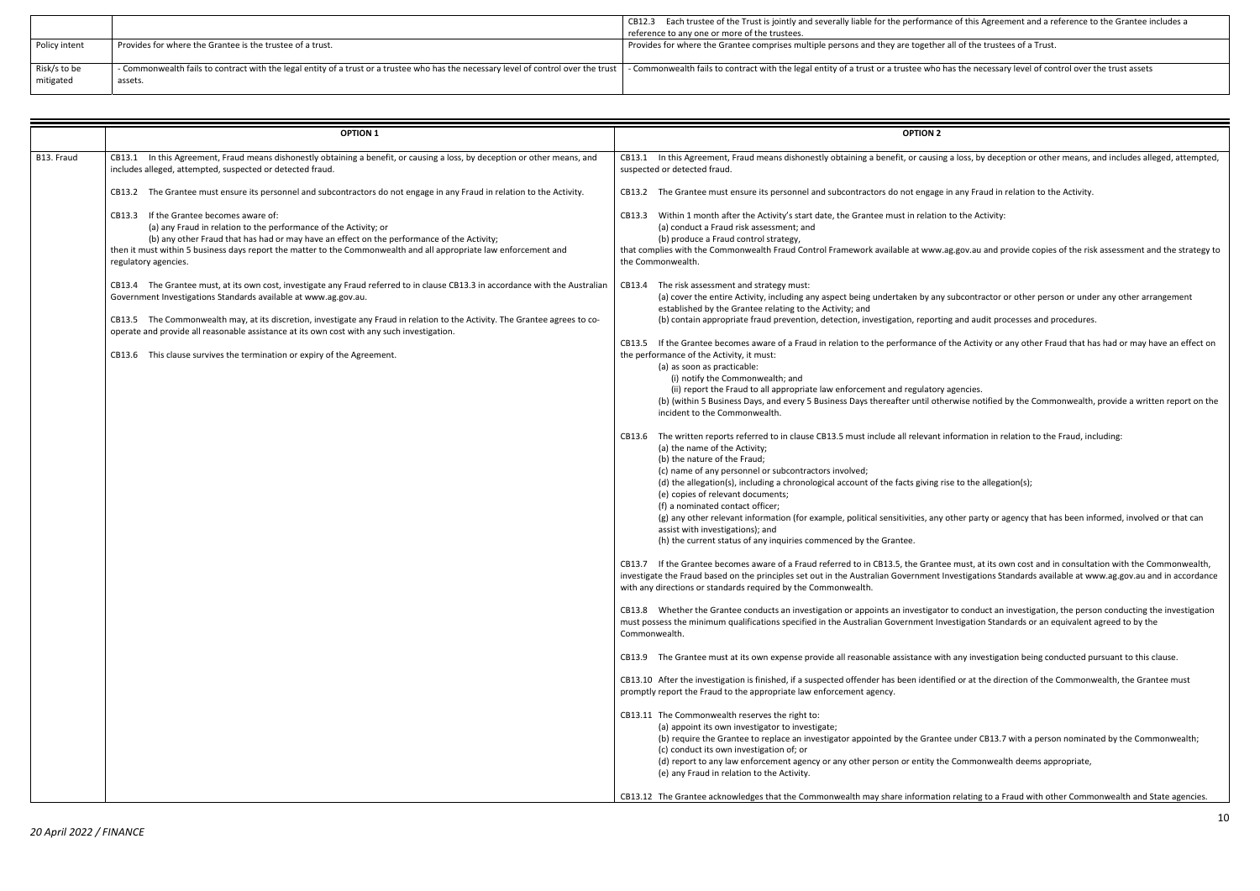the Trust is deprement and a reference to the Grantee includes a

is the necessary level of control over the trust assets

a loss, by deception or other means, and includes alleged, attempted,

n any Fraud in relation to the Activity.

to the Activity:

ag.gov.au and provide copies of the risk assessment and the strategy to

subcontractor or other person or under any other arrangement

g and audit processes and procedures.

the Activity or any other Fraud that has had or may have an effect on

agencies. en<br>In 5 Business Days and the Commonwealth, provide a written report on the

formation in relation to the Fraud, including:

se to the allegation(s);

other party or agency that has been informed, involved or that can

must, at its own cost and in consultation with the Commonwealth, ivestigations Standards available at www.ag.gov.au and in accordance

to conduct an investigation, the person conducting the investigation estigation Standards or an equivalent agreed to by the

any investigation being conducted pursuant to this clause.

ed or at the direction of the Commonwealth, the Grantee must

(b) under CB13.7 with a person nominated by the Commonwealth

e Commonwealth deems appropriate,

I relating to a Fraud with other Commonwealth and State agencies.

|                           |                                                                                                                                                 | CB12.3 Each trustee of the Trust is jointly and severally liable for the performance of this Agreement and a re   |
|---------------------------|-------------------------------------------------------------------------------------------------------------------------------------------------|-------------------------------------------------------------------------------------------------------------------|
|                           |                                                                                                                                                 | reference to any one or more of the trustees.                                                                     |
| Policy intent             | Provides for where the Grantee is the trustee of a trust.                                                                                       | Provides for where the Grantee comprises multiple persons and they are together all of the trustees of a Trust    |
| Risk/s to be<br>mitigated | - Commonwealth fails to contract with the legal entity of a trust or a trustee who has the necessary level of control over the trust<br>assets. | - Commonwealth fails to contract with the legal entity of a trust or a trustee who has the necessary level of cor |

|            | <b>OPTION 1</b>                                                                                                                                                                                                                                                                                                                                                                                                                                                                                            | <b>OPTION 2</b>                                                                                                                                                                                                                                                                                                                                                                                                                                                                                                                                                                                                                                                                                                                                                                                                                                                                                                                                                                                                                                                                                                                                                                                                                                                                                                                                                                                                                                                                                                                                                                                                                                                                                           |
|------------|------------------------------------------------------------------------------------------------------------------------------------------------------------------------------------------------------------------------------------------------------------------------------------------------------------------------------------------------------------------------------------------------------------------------------------------------------------------------------------------------------------|-----------------------------------------------------------------------------------------------------------------------------------------------------------------------------------------------------------------------------------------------------------------------------------------------------------------------------------------------------------------------------------------------------------------------------------------------------------------------------------------------------------------------------------------------------------------------------------------------------------------------------------------------------------------------------------------------------------------------------------------------------------------------------------------------------------------------------------------------------------------------------------------------------------------------------------------------------------------------------------------------------------------------------------------------------------------------------------------------------------------------------------------------------------------------------------------------------------------------------------------------------------------------------------------------------------------------------------------------------------------------------------------------------------------------------------------------------------------------------------------------------------------------------------------------------------------------------------------------------------------------------------------------------------------------------------------------------------|
| B13. Fraud | CB13.1 In this Agreement, Fraud means dishonestly obtaining a benefit, or causing a loss, by deception or other means, and<br>includes alleged, attempted, suspected or detected fraud.                                                                                                                                                                                                                                                                                                                    | CB13.1 In this Agreement, Fraud means dishonestly obtaining a benefit, or causing<br>suspected or detected fraud.                                                                                                                                                                                                                                                                                                                                                                                                                                                                                                                                                                                                                                                                                                                                                                                                                                                                                                                                                                                                                                                                                                                                                                                                                                                                                                                                                                                                                                                                                                                                                                                         |
|            | CB13.2 The Grantee must ensure its personnel and subcontractors do not engage in any Fraud in relation to the Activity.                                                                                                                                                                                                                                                                                                                                                                                    | CB13.2 The Grantee must ensure its personnel and subcontractors do not engage in                                                                                                                                                                                                                                                                                                                                                                                                                                                                                                                                                                                                                                                                                                                                                                                                                                                                                                                                                                                                                                                                                                                                                                                                                                                                                                                                                                                                                                                                                                                                                                                                                          |
|            | CB13.3 If the Grantee becomes aware of:<br>(a) any Fraud in relation to the performance of the Activity; or<br>(b) any other Fraud that has had or may have an effect on the performance of the Activity;<br>then it must within 5 business days report the matter to the Commonwealth and all appropriate law enforcement and<br>regulatory agencies.                                                                                                                                                     | CB13.3 Within 1 month after the Activity's start date, the Grantee must in relation t<br>(a) conduct a Fraud risk assessment; and<br>(b) produce a Fraud control strategy,<br>that complies with the Commonwealth Fraud Control Framework available at www.ag<br>the Commonwealth.                                                                                                                                                                                                                                                                                                                                                                                                                                                                                                                                                                                                                                                                                                                                                                                                                                                                                                                                                                                                                                                                                                                                                                                                                                                                                                                                                                                                                        |
|            | CB13.4 The Grantee must, at its own cost, investigate any Fraud referred to in clause CB13.3 in accordance with the Australian<br>Government Investigations Standards available at www.ag.gov.au.<br>CB13.5 The Commonwealth may, at its discretion, investigate any Fraud in relation to the Activity. The Grantee agrees to co-<br>operate and provide all reasonable assistance at its own cost with any such investigation.<br>CB13.6 This clause survives the termination or expiry of the Agreement. | CB13.4 The risk assessment and strategy must:<br>(a) cover the entire Activity, including any aspect being undertaken by any s<br>established by the Grantee relating to the Activity; and<br>(b) contain appropriate fraud prevention, detection, investigation, reporting<br>CB13.5 If the Grantee becomes aware of a Fraud in relation to the performance of t<br>the performance of the Activity, it must:<br>(a) as soon as practicable:<br>(i) notify the Commonwealth; and<br>(ii) report the Fraud to all appropriate law enforcement and regulatory a<br>(b) (within 5 Business Days, and every 5 Business Days thereafter until other<br>incident to the Commonwealth.<br>CB13.6 The written reports referred to in clause CB13.5 must include all relevant in<br>(a) the name of the Activity;<br>(b) the nature of the Fraud;<br>(c) name of any personnel or subcontractors involved;<br>(d) the allegation(s), including a chronological account of the facts giving rise<br>(e) copies of relevant documents;<br>(f) a nominated contact officer;<br>(g) any other relevant information (for example, political sensitivities, any of<br>assist with investigations); and<br>(h) the current status of any inquiries commenced by the Grantee.<br>CB13.7 If the Grantee becomes aware of a Fraud referred to in CB13.5, the Grantee<br>investigate the Fraud based on the principles set out in the Australian Government In<br>with any directions or standards required by the Commonwealth.<br>CB13.8 Whether the Grantee conducts an investigation or appoints an investigator<br>must possess the minimum qualifications specified in the Australian Government Inve<br>Commonwealth. |
|            |                                                                                                                                                                                                                                                                                                                                                                                                                                                                                                            | CB13.9 The Grantee must at its own expense provide all reasonable assistance with                                                                                                                                                                                                                                                                                                                                                                                                                                                                                                                                                                                                                                                                                                                                                                                                                                                                                                                                                                                                                                                                                                                                                                                                                                                                                                                                                                                                                                                                                                                                                                                                                         |
|            |                                                                                                                                                                                                                                                                                                                                                                                                                                                                                                            | CB13.10 After the investigation is finished, if a suspected offender has been identifie<br>promptly report the Fraud to the appropriate law enforcement agency.                                                                                                                                                                                                                                                                                                                                                                                                                                                                                                                                                                                                                                                                                                                                                                                                                                                                                                                                                                                                                                                                                                                                                                                                                                                                                                                                                                                                                                                                                                                                           |
|            |                                                                                                                                                                                                                                                                                                                                                                                                                                                                                                            | CB13.11 The Commonwealth reserves the right to:<br>(a) appoint its own investigator to investigate;<br>(b) require the Grantee to replace an investigator appointed by the Grantee<br>(c) conduct its own investigation of; or<br>(d) report to any law enforcement agency or any other person or entity the<br>(e) any Fraud in relation to the Activity.<br>CB13.12 The Grantee acknowledges that the Commonwealth may share information                                                                                                                                                                                                                                                                                                                                                                                                                                                                                                                                                                                                                                                                                                                                                                                                                                                                                                                                                                                                                                                                                                                                                                                                                                                                |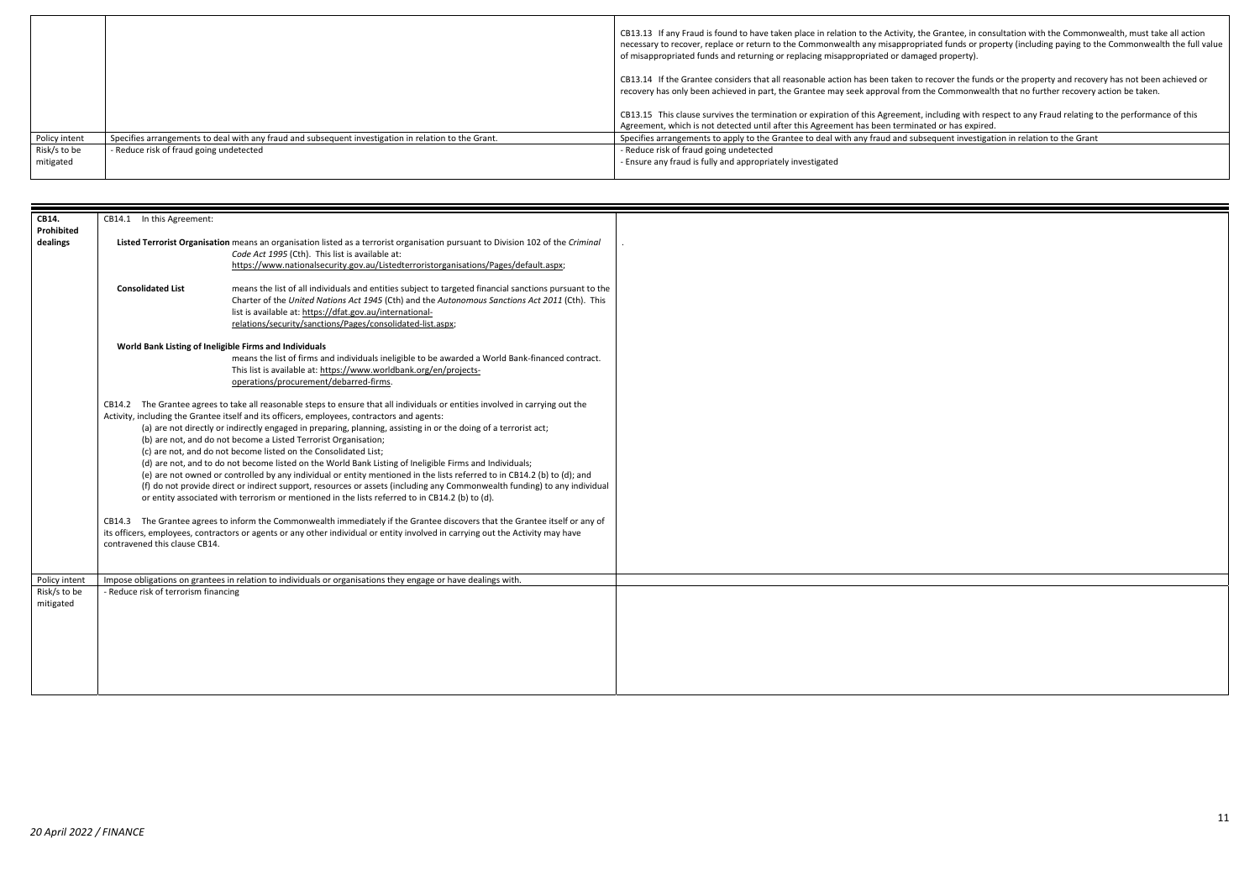ntee, in consultation with the Commonwealth, must take all action iunds or property (including paying to the Commonwealth the full value

er the funds or the property and recovery has not been achieved or mmonwealth that no further recovery action be taken.

ing with respect to any Fraud relating to the performance of this has expired.

It investigation in relation to the Grant

|               |                                                                                                      | CB13.13 If any Fraud is found to have taken place in relation to the Activity, the Grantee, in<br>necessary to recover, replace or return to the Commonwealth any misappropriated funds or |
|---------------|------------------------------------------------------------------------------------------------------|--------------------------------------------------------------------------------------------------------------------------------------------------------------------------------------------|
|               |                                                                                                      | of misappropriated funds and returning or replacing misappropriated or damaged property).                                                                                                  |
|               |                                                                                                      | CB13.14 If the Grantee considers that all reasonable action has been taken to recover the fu<br>recovery has only been achieved in part, the Grantee may seek approval from the Commony    |
|               |                                                                                                      | CB13.15 This clause survives the termination or expiration of this Agreement, including with                                                                                               |
|               |                                                                                                      | Agreement, which is not detected until after this Agreement has been terminated or has exp                                                                                                 |
| Policy intent | Specifies arrangements to deal with any fraud and subsequent investigation in relation to the Grant. | Specifies arrangements to apply to the Grantee to deal with any fraud and subsequent inves                                                                                                 |
| Risk/s to be  | - Reduce risk of fraud going undetected                                                              | - Reduce risk of fraud going undetected                                                                                                                                                    |
| mitigated     |                                                                                                      | - Ensure any fraud is fully and appropriately investigated                                                                                                                                 |
|               |                                                                                                      |                                                                                                                                                                                            |

| CB14.                     | CB14.1 In this Agreement:                              |                                                                                                                                                                                                                                                                                                                                                                                                                                                                                                                                                                                                                                                                                                                                                                                                                                                                                                                                                                                                                                                                                                                                                                                                                                  |  |
|---------------------------|--------------------------------------------------------|----------------------------------------------------------------------------------------------------------------------------------------------------------------------------------------------------------------------------------------------------------------------------------------------------------------------------------------------------------------------------------------------------------------------------------------------------------------------------------------------------------------------------------------------------------------------------------------------------------------------------------------------------------------------------------------------------------------------------------------------------------------------------------------------------------------------------------------------------------------------------------------------------------------------------------------------------------------------------------------------------------------------------------------------------------------------------------------------------------------------------------------------------------------------------------------------------------------------------------|--|
| Prohibited<br>dealings    |                                                        | Listed Terrorist Organisation means an organisation listed as a terrorist organisation pursuant to Division 102 of the Criminal<br>Code Act 1995 (Cth). This list is available at:<br>https://www.nationalsecurity.gov.au/Listedterroristorganisations/Pages/default.aspx;                                                                                                                                                                                                                                                                                                                                                                                                                                                                                                                                                                                                                                                                                                                                                                                                                                                                                                                                                       |  |
|                           | <b>Consolidated List</b>                               | means the list of all individuals and entities subject to targeted financial sanctions pursuant to the<br>Charter of the United Nations Act 1945 (Cth) and the Autonomous Sanctions Act 2011 (Cth). This<br>list is available at: https://dfat.gov.au/international-<br>relations/security/sanctions/Pages/consolidated-list.aspx;                                                                                                                                                                                                                                                                                                                                                                                                                                                                                                                                                                                                                                                                                                                                                                                                                                                                                               |  |
|                           | World Bank Listing of Ineligible Firms and Individuals | means the list of firms and individuals ineligible to be awarded a World Bank-financed contract.<br>This list is available at: https://www.worldbank.org/en/projects-<br>operations/procurement/debarred-firms.                                                                                                                                                                                                                                                                                                                                                                                                                                                                                                                                                                                                                                                                                                                                                                                                                                                                                                                                                                                                                  |  |
|                           | contravened this clause CB14.                          | CB14.2 The Grantee agrees to take all reasonable steps to ensure that all individuals or entities involved in carrying out the<br>Activity, including the Grantee itself and its officers, employees, contractors and agents:<br>(a) are not directly or indirectly engaged in preparing, planning, assisting in or the doing of a terrorist act;<br>(b) are not, and do not become a Listed Terrorist Organisation;<br>(c) are not, and do not become listed on the Consolidated List;<br>(d) are not, and to do not become listed on the World Bank Listing of Ineligible Firms and Individuals;<br>(e) are not owned or controlled by any individual or entity mentioned in the lists referred to in CB14.2 (b) to (d); and<br>(f) do not provide direct or indirect support, resources or assets (including any Commonwealth funding) to any individual<br>or entity associated with terrorism or mentioned in the lists referred to in CB14.2 (b) to (d).<br>CB14.3 The Grantee agrees to inform the Commonwealth immediately if the Grantee discovers that the Grantee itself or any of<br>its officers, employees, contractors or agents or any other individual or entity involved in carrying out the Activity may have |  |
| Policy intent             |                                                        | Impose obligations on grantees in relation to individuals or organisations they engage or have dealings with.                                                                                                                                                                                                                                                                                                                                                                                                                                                                                                                                                                                                                                                                                                                                                                                                                                                                                                                                                                                                                                                                                                                    |  |
| Risk/s to be<br>mitigated | - Reduce risk of terrorism financing                   |                                                                                                                                                                                                                                                                                                                                                                                                                                                                                                                                                                                                                                                                                                                                                                                                                                                                                                                                                                                                                                                                                                                                                                                                                                  |  |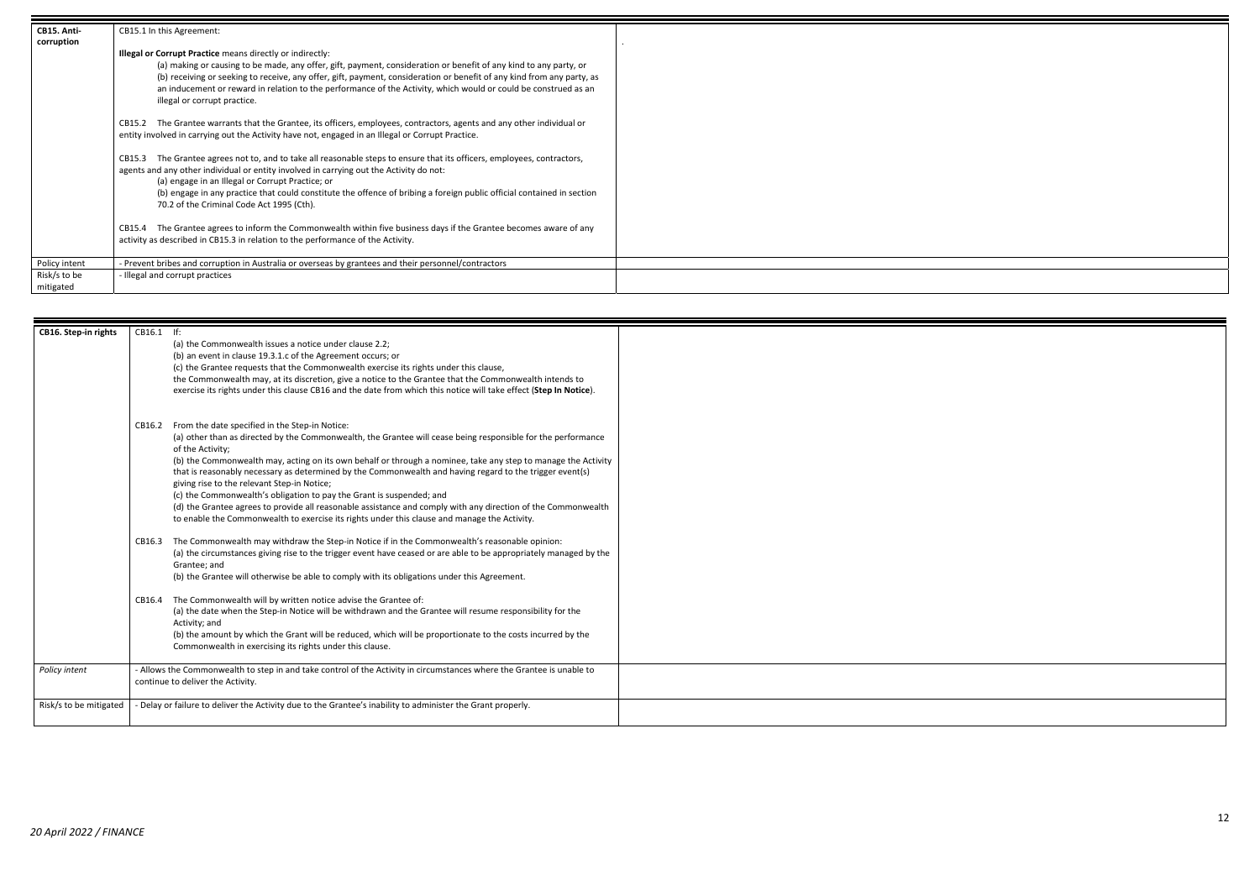| CB15. Anti-               | CB15.1 In this Agreement:                                                                                                                                                                                                                                                                                                                                                                                                                        |  |
|---------------------------|--------------------------------------------------------------------------------------------------------------------------------------------------------------------------------------------------------------------------------------------------------------------------------------------------------------------------------------------------------------------------------------------------------------------------------------------------|--|
| corruption                |                                                                                                                                                                                                                                                                                                                                                                                                                                                  |  |
|                           | <b>Illegal or Corrupt Practice means directly or indirectly:</b>                                                                                                                                                                                                                                                                                                                                                                                 |  |
|                           | (a) making or causing to be made, any offer, gift, payment, consideration or benefit of any kind to any party, or<br>(b) receiving or seeking to receive, any offer, gift, payment, consideration or benefit of any kind from any party, as<br>an inducement or reward in relation to the performance of the Activity, which would or could be construed as an<br>illegal or corrupt practice.                                                   |  |
|                           | The Grantee warrants that the Grantee, its officers, employees, contractors, agents and any other individual or<br>CB15.2<br>entity involved in carrying out the Activity have not, engaged in an Illegal or Corrupt Practice.                                                                                                                                                                                                                   |  |
|                           | The Grantee agrees not to, and to take all reasonable steps to ensure that its officers, employees, contractors,<br>CB15.3<br>agents and any other individual or entity involved in carrying out the Activity do not:<br>(a) engage in an Illegal or Corrupt Practice; or<br>(b) engage in any practice that could constitute the offence of bribing a foreign public official contained in section<br>70.2 of the Criminal Code Act 1995 (Cth). |  |
|                           | The Grantee agrees to inform the Commonwealth within five business days if the Grantee becomes aware of any<br>CB15.4<br>activity as described in CB15.3 in relation to the performance of the Activity.                                                                                                                                                                                                                                         |  |
| Policy intent             | - Prevent bribes and corruption in Australia or overseas by grantees and their personnel/contractors                                                                                                                                                                                                                                                                                                                                             |  |
| Risk/s to be<br>mitigated | - Illegal and corrupt practices                                                                                                                                                                                                                                                                                                                                                                                                                  |  |

| CB16. Step-in rights   | CB16.1 If: |                                                                                                                                                                                                               |  |
|------------------------|------------|---------------------------------------------------------------------------------------------------------------------------------------------------------------------------------------------------------------|--|
|                        |            | (a) the Commonwealth issues a notice under clause 2.2;<br>(b) an event in clause 19.3.1.c of the Agreement occurs; or                                                                                         |  |
|                        |            | (c) the Grantee requests that the Commonwealth exercise its rights under this clause,                                                                                                                         |  |
|                        |            | the Commonwealth may, at its discretion, give a notice to the Grantee that the Commonwealth intends to                                                                                                        |  |
|                        |            | exercise its rights under this clause CB16 and the date from which this notice will take effect (Step In Notice).                                                                                             |  |
|                        |            |                                                                                                                                                                                                               |  |
|                        | CB16.2     | From the date specified in the Step-in Notice:                                                                                                                                                                |  |
|                        |            | (a) other than as directed by the Commonwealth, the Grantee will cease being responsible for the performance<br>of the Activity:                                                                              |  |
|                        |            | (b) the Commonwealth may, acting on its own behalf or through a nominee, take any step to manage the Activity                                                                                                 |  |
|                        |            | that is reasonably necessary as determined by the Commonwealth and having regard to the trigger event(s)                                                                                                      |  |
|                        |            | giving rise to the relevant Step-in Notice;                                                                                                                                                                   |  |
|                        |            | (c) the Commonwealth's obligation to pay the Grant is suspended; and                                                                                                                                          |  |
|                        |            | (d) the Grantee agrees to provide all reasonable assistance and comply with any direction of the Commonwealth<br>to enable the Commonwealth to exercise its rights under this clause and manage the Activity. |  |
|                        |            |                                                                                                                                                                                                               |  |
|                        | CB16.3     | The Commonwealth may withdraw the Step-in Notice if in the Commonwealth's reasonable opinion:                                                                                                                 |  |
|                        |            | (a) the circumstances giving rise to the trigger event have ceased or are able to be appropriately managed by the                                                                                             |  |
|                        |            | Grantee; and                                                                                                                                                                                                  |  |
|                        |            | (b) the Grantee will otherwise be able to comply with its obligations under this Agreement.                                                                                                                   |  |
|                        | CB16.4     | The Commonwealth will by written notice advise the Grantee of:                                                                                                                                                |  |
|                        |            | (a) the date when the Step-in Notice will be withdrawn and the Grantee will resume responsibility for the                                                                                                     |  |
|                        |            | Activity; and                                                                                                                                                                                                 |  |
|                        |            | (b) the amount by which the Grant will be reduced, which will be proportionate to the costs incurred by the<br>Commonwealth in exercising its rights under this clause.                                       |  |
|                        |            |                                                                                                                                                                                                               |  |
| Policy intent          |            | - Allows the Commonwealth to step in and take control of the Activity in circumstances where the Grantee is unable to                                                                                         |  |
|                        |            | continue to deliver the Activity.                                                                                                                                                                             |  |
| Risk/s to be mitigated |            | - Delay or failure to deliver the Activity due to the Grantee's inability to administer the Grant properly.                                                                                                   |  |
|                        |            |                                                                                                                                                                                                               |  |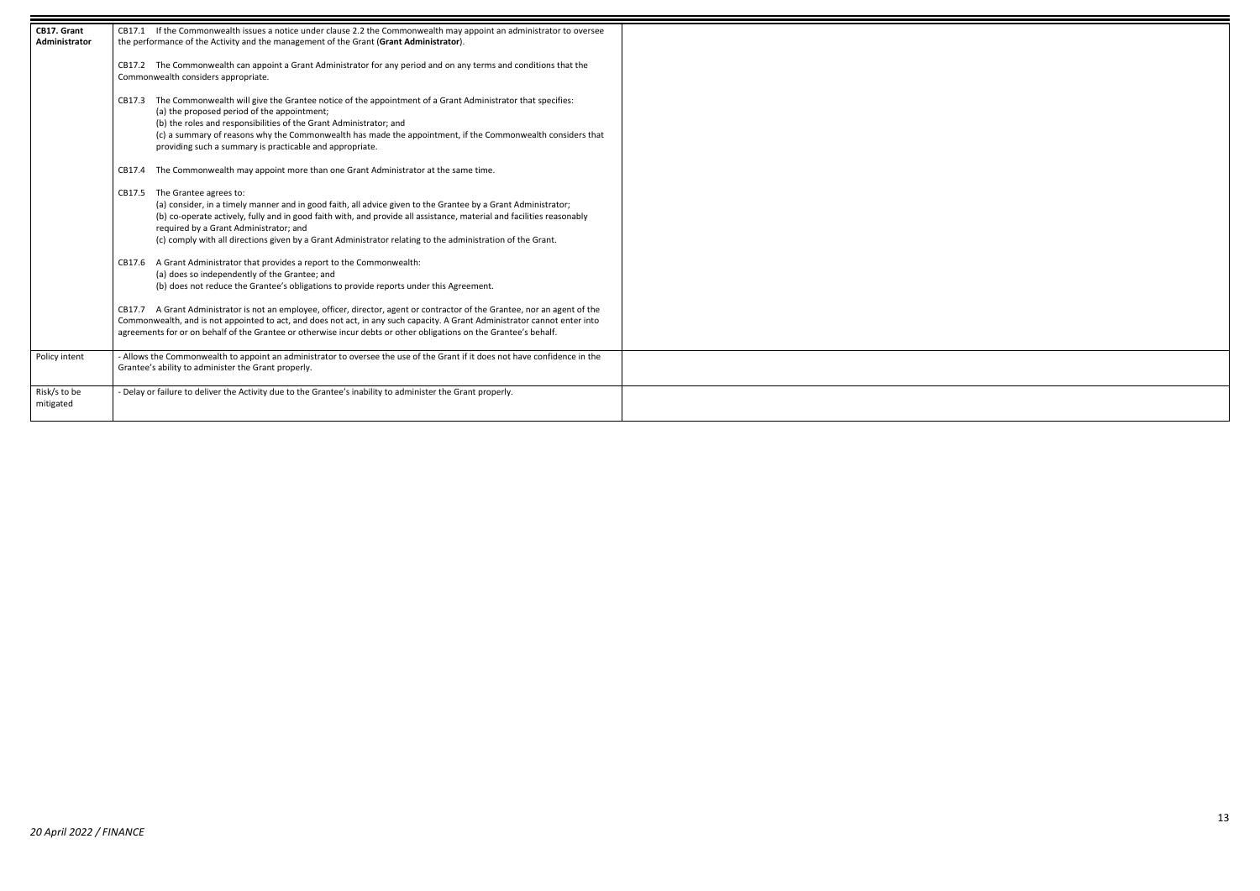13

| CB17. Grant<br><b>Administrator</b> | CB17.1 If the Commonwealth issues a notice under clause 2.2 the Commonwealth may appoint an administrator to oversee<br>the performance of the Activity and the management of the Grant (Grant Administrator).                                                                                                                                                                                                                     |  |
|-------------------------------------|------------------------------------------------------------------------------------------------------------------------------------------------------------------------------------------------------------------------------------------------------------------------------------------------------------------------------------------------------------------------------------------------------------------------------------|--|
|                                     | CB17.2 The Commonwealth can appoint a Grant Administrator for any period and on any terms and conditions that the<br>Commonwealth considers appropriate.                                                                                                                                                                                                                                                                           |  |
|                                     | The Commonwealth will give the Grantee notice of the appointment of a Grant Administrator that specifies:<br>CB17.3<br>(a) the proposed period of the appointment;<br>(b) the roles and responsibilities of the Grant Administrator; and<br>(c) a summary of reasons why the Commonwealth has made the appointment, if the Commonwealth considers that<br>providing such a summary is practicable and appropriate.                 |  |
|                                     | The Commonwealth may appoint more than one Grant Administrator at the same time.<br>CB17.4                                                                                                                                                                                                                                                                                                                                         |  |
|                                     | The Grantee agrees to:<br>CB17.5<br>(a) consider, in a timely manner and in good faith, all advice given to the Grantee by a Grant Administrator;<br>(b) co-operate actively, fully and in good faith with, and provide all assistance, material and facilities reasonably<br>required by a Grant Administrator; and<br>(c) comply with all directions given by a Grant Administrator relating to the administration of the Grant. |  |
|                                     | A Grant Administrator that provides a report to the Commonwealth:<br>CB17.6<br>(a) does so independently of the Grantee; and<br>(b) does not reduce the Grantee's obligations to provide reports under this Agreement.                                                                                                                                                                                                             |  |
|                                     | A Grant Administrator is not an employee, officer, director, agent or contractor of the Grantee, nor an agent of the<br>CB17.7<br>Commonwealth, and is not appointed to act, and does not act, in any such capacity. A Grant Administrator cannot enter into<br>agreements for or on behalf of the Grantee or otherwise incur debts or other obligations on the Grantee's behalf.                                                  |  |
| Policy intent                       | - Allows the Commonwealth to appoint an administrator to oversee the use of the Grant if it does not have confidence in the<br>Grantee's ability to administer the Grant properly.                                                                                                                                                                                                                                                 |  |
| Risk/s to be<br>mitigated           | - Delay or failure to deliver the Activity due to the Grantee's inability to administer the Grant properly.                                                                                                                                                                                                                                                                                                                        |  |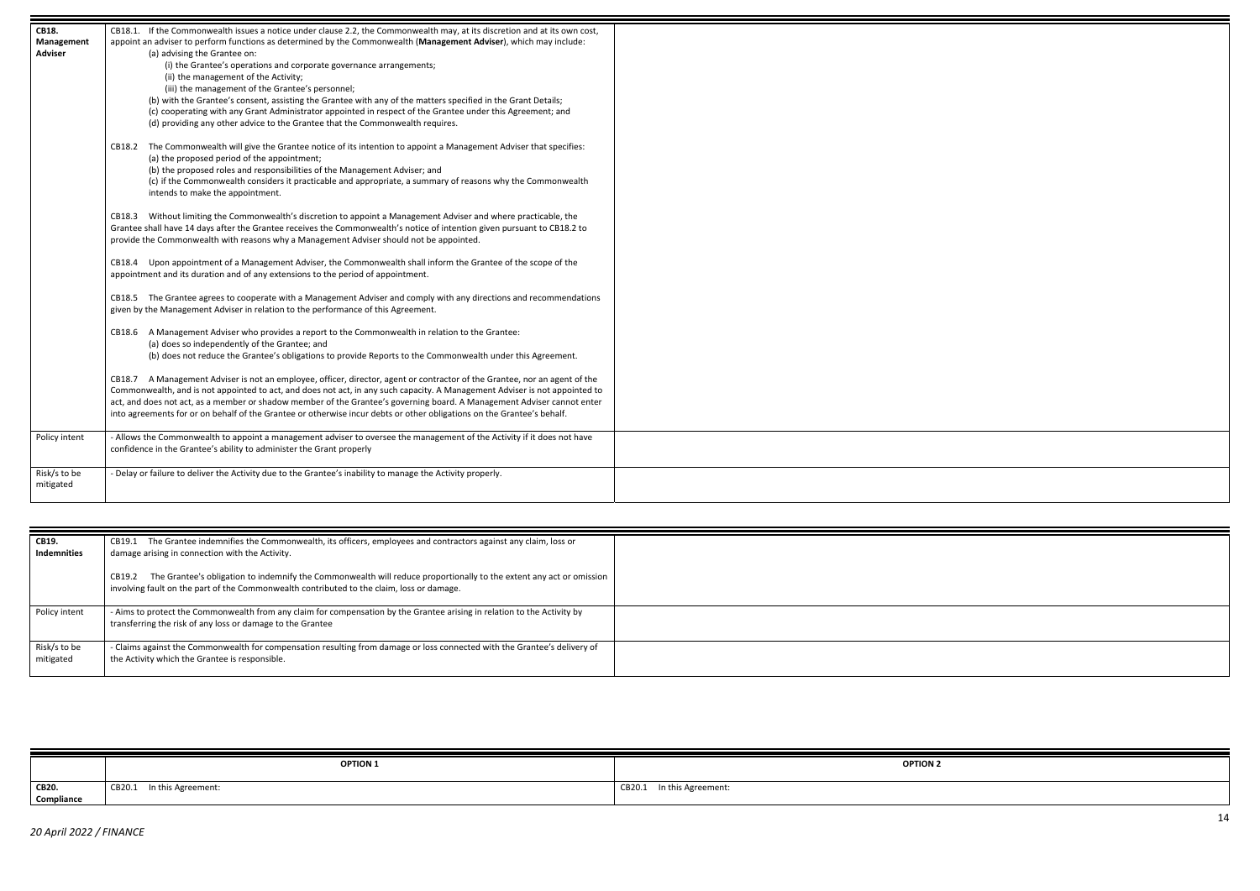

| <b>CB18.</b>              | CB18.1. If the Commonwealth issues a notice under clause 2.2, the Commonwealth may, at its discretion and at its own cost,                                                                                                                                                                                                                                                                               |  |
|---------------------------|----------------------------------------------------------------------------------------------------------------------------------------------------------------------------------------------------------------------------------------------------------------------------------------------------------------------------------------------------------------------------------------------------------|--|
| Management                | appoint an adviser to perform functions as determined by the Commonwealth (Management Adviser), which may include:                                                                                                                                                                                                                                                                                       |  |
| <b>Adviser</b>            | (a) advising the Grantee on:                                                                                                                                                                                                                                                                                                                                                                             |  |
|                           | (i) the Grantee's operations and corporate governance arrangements;                                                                                                                                                                                                                                                                                                                                      |  |
|                           | (ii) the management of the Activity;                                                                                                                                                                                                                                                                                                                                                                     |  |
|                           | (iii) the management of the Grantee's personnel;                                                                                                                                                                                                                                                                                                                                                         |  |
|                           | (b) with the Grantee's consent, assisting the Grantee with any of the matters specified in the Grant Details;                                                                                                                                                                                                                                                                                            |  |
|                           | (c) cooperating with any Grant Administrator appointed in respect of the Grantee under this Agreement; and                                                                                                                                                                                                                                                                                               |  |
|                           | (d) providing any other advice to the Grantee that the Commonwealth requires.                                                                                                                                                                                                                                                                                                                            |  |
|                           | The Commonwealth will give the Grantee notice of its intention to appoint a Management Adviser that specifies:<br>CB18.2<br>(a) the proposed period of the appointment;<br>(b) the proposed roles and responsibilities of the Management Adviser; and<br>(c) if the Commonwealth considers it practicable and appropriate, a summary of reasons why the Commonwealth<br>intends to make the appointment. |  |
|                           | CB18.3 Without limiting the Commonwealth's discretion to appoint a Management Adviser and where practicable, the<br>Grantee shall have 14 days after the Grantee receives the Commonwealth's notice of intention given pursuant to CB18.2 to<br>provide the Commonwealth with reasons why a Management Adviser should not be appointed.                                                                  |  |
|                           | CB18.4 Upon appointment of a Management Adviser, the Commonwealth shall inform the Grantee of the scope of the<br>appointment and its duration and of any extensions to the period of appointment.                                                                                                                                                                                                       |  |
|                           | CB18.5 The Grantee agrees to cooperate with a Management Adviser and comply with any directions and recommendations<br>given by the Management Adviser in relation to the performance of this Agreement.                                                                                                                                                                                                 |  |
|                           | CB18.6 A Management Adviser who provides a report to the Commonwealth in relation to the Grantee:                                                                                                                                                                                                                                                                                                        |  |
|                           | (a) does so independently of the Grantee; and                                                                                                                                                                                                                                                                                                                                                            |  |
|                           | (b) does not reduce the Grantee's obligations to provide Reports to the Commonwealth under this Agreement.                                                                                                                                                                                                                                                                                               |  |
|                           |                                                                                                                                                                                                                                                                                                                                                                                                          |  |
|                           | CB18.7 A Management Adviser is not an employee, officer, director, agent or contractor of the Grantee, nor an agent of the                                                                                                                                                                                                                                                                               |  |
|                           | Commonwealth, and is not appointed to act, and does not act, in any such capacity. A Management Adviser is not appointed to                                                                                                                                                                                                                                                                              |  |
|                           | act, and does not act, as a member or shadow member of the Grantee's governing board. A Management Adviser cannot enter                                                                                                                                                                                                                                                                                  |  |
|                           | into agreements for or on behalf of the Grantee or otherwise incur debts or other obligations on the Grantee's behalf.                                                                                                                                                                                                                                                                                   |  |
| Policy intent             | - Allows the Commonwealth to appoint a management adviser to oversee the management of the Activity if it does not have                                                                                                                                                                                                                                                                                  |  |
|                           | confidence in the Grantee's ability to administer the Grant properly                                                                                                                                                                                                                                                                                                                                     |  |
|                           |                                                                                                                                                                                                                                                                                                                                                                                                          |  |
| Risk/s to be<br>mitigated | - Delay or failure to deliver the Activity due to the Grantee's inability to manage the Activity properly.                                                                                                                                                                                                                                                                                               |  |
|                           |                                                                                                                                                                                                                                                                                                                                                                                                          |  |

| CB19.<br><b>Indemnities</b> | CB19.1 The Grantee indemnifies the Commonwealth, its officers, employees and contractors against any claim, loss or<br>damage arising in connection with the Activity.                                                     |  |
|-----------------------------|----------------------------------------------------------------------------------------------------------------------------------------------------------------------------------------------------------------------------|--|
|                             | The Grantee's obligation to indemnify the Commonwealth will reduce proportionally to the extent any act or omission<br>CB19.2<br>involving fault on the part of the Commonwealth contributed to the claim, loss or damage. |  |
| Policy intent               | - Aims to protect the Commonwealth from any claim for compensation by the Grantee arising in relation to the Activity by<br>transferring the risk of any loss or damage to the Grantee                                     |  |
| Risk/s to be<br>mitigated   | - Claims against the Commonwealth for compensation resulting from damage or loss connected with the Grantee's delivery of<br>the Activity which the Grantee is responsible.                                                |  |

|            | <b>OPTION 1</b>    | <b>OPTION 2</b>    |
|------------|--------------------|--------------------|
| CB20.      | In this Agreement: | In this Agreement: |
| Compliance | CB20.1             | CB20.1             |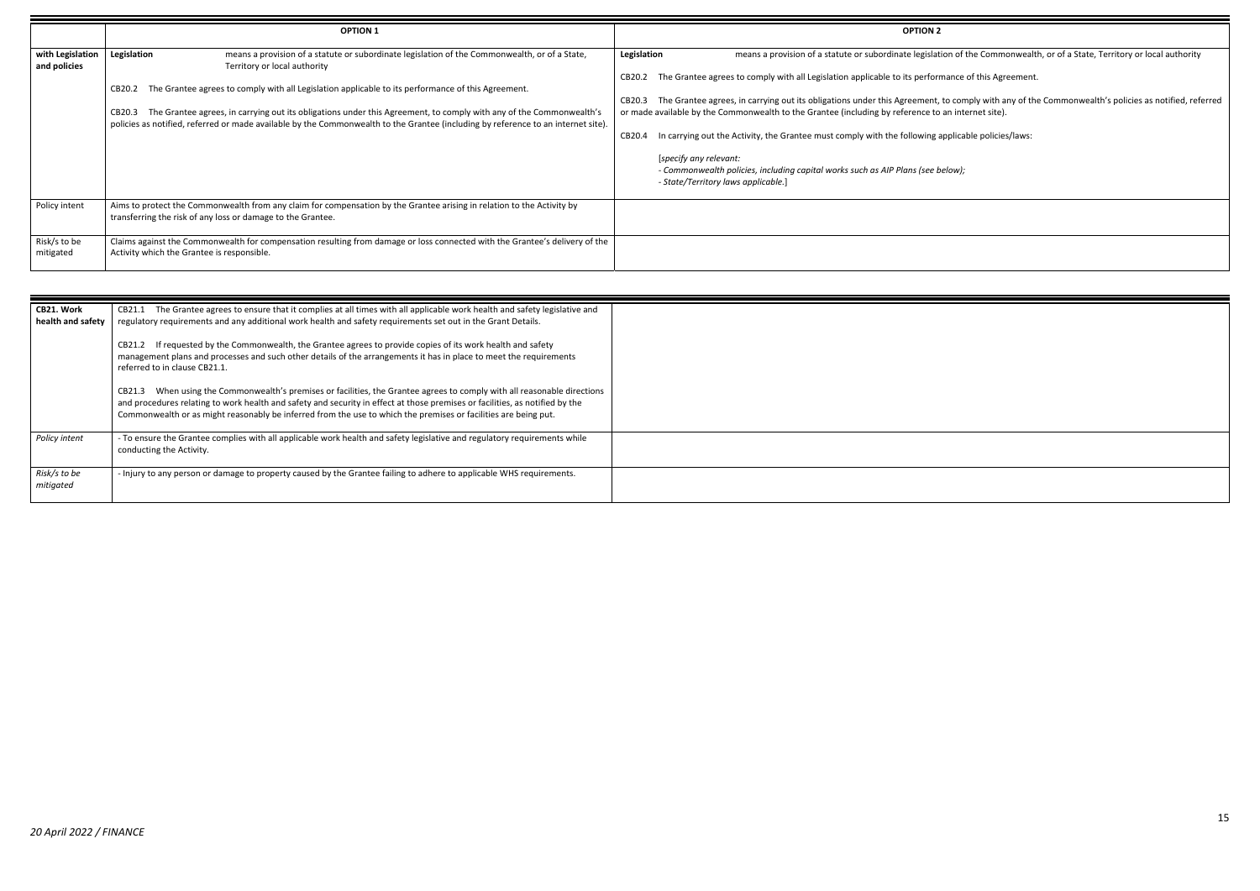o comply with any of the Commonwealth's policies as notified, referred n internet site).

|                                            | <b>OPTION 1</b>                                                                                                                                                                                                                                                                                                                                                                                                                                                                                                                | <b>OPTION 2</b>                                                                                                                                                                                                                                                                                                                                                                                                                                                                                                                                                                                                                                                                                                                                                                               |
|--------------------------------------------|--------------------------------------------------------------------------------------------------------------------------------------------------------------------------------------------------------------------------------------------------------------------------------------------------------------------------------------------------------------------------------------------------------------------------------------------------------------------------------------------------------------------------------|-----------------------------------------------------------------------------------------------------------------------------------------------------------------------------------------------------------------------------------------------------------------------------------------------------------------------------------------------------------------------------------------------------------------------------------------------------------------------------------------------------------------------------------------------------------------------------------------------------------------------------------------------------------------------------------------------------------------------------------------------------------------------------------------------|
| with Legislation<br>and policies           | Legislation<br>means a provision of a statute or subordinate legislation of the Commonwealth, or of a State,<br>Territory or local authority<br>CB20.2 The Grantee agrees to comply with all Legislation applicable to its performance of this Agreement.<br>The Grantee agrees, in carrying out its obligations under this Agreement, to comply with any of the Commonwealth's<br>CB20.3<br>policies as notified, referred or made available by the Commonwealth to the Grantee (including by reference to an internet site). | means a provision of a statute or subordinate legislation of the Commonwealth, or of a State, Territory or local authority<br>Legislation<br>The Grantee agrees to comply with all Legislation applicable to its performance of this Agreement.<br>CB20.2<br>The Grantee agrees, in carrying out its obligations under this Agreement, to comply with any of the Commonwealth's policies as notified, ref<br>CB20.3<br>or made available by the Commonwealth to the Grantee (including by reference to an internet site).<br>In carrying out the Activity, the Grantee must comply with the following applicable policies/laws:<br>CB20.4<br>[specify any relevant:<br>- Commonwealth policies, including capital works such as AIP Plans (see below);<br>- State/Territory laws applicable.] |
| Policy intent<br>Risk/s to be<br>mitigated | Aims to protect the Commonwealth from any claim for compensation by the Grantee arising in relation to the Activity by<br>transferring the risk of any loss or damage to the Grantee.<br>Claims against the Commonwealth for compensation resulting from damage or loss connected with the Grantee's delivery of the<br>Activity which the Grantee is responsible.                                                                                                                                                             |                                                                                                                                                                                                                                                                                                                                                                                                                                                                                                                                                                                                                                                                                                                                                                                               |

| CB21. Work<br>health and safety | The Grantee agrees to ensure that it complies at all times with all applicable work health and safety legislative and<br>CB21.1<br>regulatory requirements and any additional work health and safety requirements set out in the Grant Details.                                                                                                                                |  |
|---------------------------------|--------------------------------------------------------------------------------------------------------------------------------------------------------------------------------------------------------------------------------------------------------------------------------------------------------------------------------------------------------------------------------|--|
|                                 | If requested by the Commonwealth, the Grantee agrees to provide copies of its work health and safety<br>CB21.2<br>management plans and processes and such other details of the arrangements it has in place to meet the requirements<br>referred to in clause CB21.1.                                                                                                          |  |
|                                 | When using the Commonwealth's premises or facilities, the Grantee agrees to comply with all reasonable directions<br>CB21.3<br>and procedures relating to work health and safety and security in effect at those premises or facilities, as notified by the<br>Commonwealth or as might reasonably be inferred from the use to which the premises or facilities are being put. |  |
| Policy intent                   | - To ensure the Grantee complies with all applicable work health and safety legislative and regulatory requirements while<br>conducting the Activity.                                                                                                                                                                                                                          |  |
| Risk/s to be<br>mitigated       | - Injury to any person or damage to property caused by the Grantee failing to adhere to applicable WHS requirements.                                                                                                                                                                                                                                                           |  |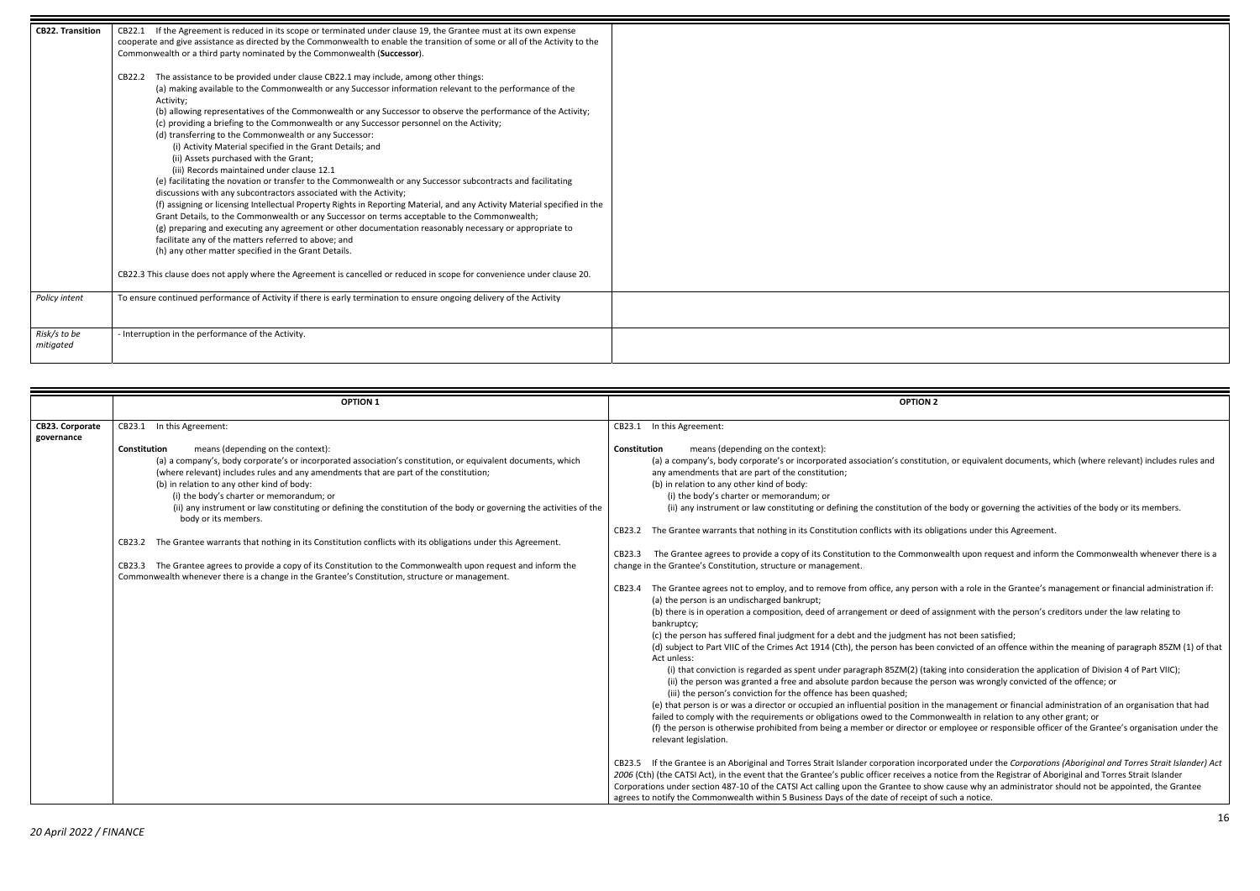or equivalent documents, which (where relevant) includes rules and

body or governing the activities of the body or its members.

tions under this Agreement.

Ith upon request and inform the Commonwealth whenever there is a

th a role in the Grantee's management or financial administration if:

(in operation and there is in operation and of the law relating to

ot been satisfied; victed of an offence within the meaning of paragraph 85ZM (1) of that

nto consideration the application of Division 4 of Part VIIC); on was wrongly convicted of the offence; or

nanagement or financial administration of an organisation that had vealth in relation to any other grant; or ployee or responsible officer of the Grantee's organisation under the

| <b>CB22. Transition</b>   | If the Agreement is reduced in its scope or terminated under clause 19, the Grantee must at its own expense<br>CB22.1<br>cooperate and give assistance as directed by the Commonwealth to enable the transition of some or all of the Activity to the<br>Commonwealth or a third party nominated by the Commonwealth (Successor).<br>The assistance to be provided under clause CB22.1 may include, among other things:<br>CB22.2                    |
|---------------------------|------------------------------------------------------------------------------------------------------------------------------------------------------------------------------------------------------------------------------------------------------------------------------------------------------------------------------------------------------------------------------------------------------------------------------------------------------|
|                           | (a) making available to the Commonwealth or any Successor information relevant to the performance of the<br>Activity;<br>(b) allowing representatives of the Commonwealth or any Successor to observe the performance of the Activity;<br>(c) providing a briefing to the Commonwealth or any Successor personnel on the Activity;<br>(d) transferring to the Commonwealth or any Successor:                                                         |
|                           | (i) Activity Material specified in the Grant Details; and<br>(ii) Assets purchased with the Grant;<br>(iii) Records maintained under clause 12.1<br>(e) facilitating the novation or transfer to the Commonwealth or any Successor subcontracts and facilitating<br>discussions with any subcontractors associated with the Activity;                                                                                                                |
|                           | (f) assigning or licensing Intellectual Property Rights in Reporting Material, and any Activity Material specified in the<br>Grant Details, to the Commonwealth or any Successor on terms acceptable to the Commonwealth;<br>(g) preparing and executing any agreement or other documentation reasonably necessary or appropriate to<br>facilitate any of the matters referred to above; and<br>(h) any other matter specified in the Grant Details. |
|                           | CB22.3 This clause does not apply where the Agreement is cancelled or reduced in scope for convenience under clause 20.                                                                                                                                                                                                                                                                                                                              |
| Policy intent             | To ensure continued performance of Activity if there is early termination to ensure ongoing delivery of the Activity                                                                                                                                                                                                                                                                                                                                 |
| Risk/s to be<br>mitigated | - Interruption in the performance of the Activity.                                                                                                                                                                                                                                                                                                                                                                                                   |

 Aboriginal and Torres Strait Islander corporation incorporated under the *Corporations (Aboriginal and Torres Strait Islander) Act* ce from the Registrar of Aboriginal and Torres Strait Islander ause why an administrator should not be appointed, the Grantee ch a notice.

|                                      | <b>OPTION 1</b>                                                                                                                                                                                                                                                                                                                                                                                                                                                                                                                                                                                                                                                                                                                                                                                                                                   | <b>OPTION 2</b>                                                                                                                                                                                                                                                                                                                                                                                                                                                                                                                                                                                                                                                                                                                                                                                                                                                                                                                                                                                                                                                                                                                                                                                                                                                                                                                                                                                                                                                                                                                                                                                                                                                                                                                                                                                                                                     |
|--------------------------------------|---------------------------------------------------------------------------------------------------------------------------------------------------------------------------------------------------------------------------------------------------------------------------------------------------------------------------------------------------------------------------------------------------------------------------------------------------------------------------------------------------------------------------------------------------------------------------------------------------------------------------------------------------------------------------------------------------------------------------------------------------------------------------------------------------------------------------------------------------|-----------------------------------------------------------------------------------------------------------------------------------------------------------------------------------------------------------------------------------------------------------------------------------------------------------------------------------------------------------------------------------------------------------------------------------------------------------------------------------------------------------------------------------------------------------------------------------------------------------------------------------------------------------------------------------------------------------------------------------------------------------------------------------------------------------------------------------------------------------------------------------------------------------------------------------------------------------------------------------------------------------------------------------------------------------------------------------------------------------------------------------------------------------------------------------------------------------------------------------------------------------------------------------------------------------------------------------------------------------------------------------------------------------------------------------------------------------------------------------------------------------------------------------------------------------------------------------------------------------------------------------------------------------------------------------------------------------------------------------------------------------------------------------------------------------------------------------------------------|
| <b>CB23. Corporate</b><br>governance | In this Agreement:<br>CB23.1                                                                                                                                                                                                                                                                                                                                                                                                                                                                                                                                                                                                                                                                                                                                                                                                                      | In this Agreement:<br>CB23.1                                                                                                                                                                                                                                                                                                                                                                                                                                                                                                                                                                                                                                                                                                                                                                                                                                                                                                                                                                                                                                                                                                                                                                                                                                                                                                                                                                                                                                                                                                                                                                                                                                                                                                                                                                                                                        |
|                                      | means (depending on the context):<br>Constitution<br>(a) a company's, body corporate's or incorporated association's constitution, or equivalent documents, which<br>(where relevant) includes rules and any amendments that are part of the constitution;<br>(b) in relation to any other kind of body:<br>(i) the body's charter or memorandum; or<br>(ii) any instrument or law constituting or defining the constitution of the body or governing the activities of the<br>body or its members.<br>The Grantee warrants that nothing in its Constitution conflicts with its obligations under this Agreement.<br>CB23.2<br>CB23.3 The Grantee agrees to provide a copy of its Constitution to the Commonwealth upon request and inform the<br>Commonwealth whenever there is a change in the Grantee's Constitution, structure or management. | means (depending on the context):<br>Constitution<br>(a) a company's, body corporate's or incorporated association's constitution,<br>any amendments that are part of the constitution;<br>(b) in relation to any other kind of body:<br>(i) the body's charter or memorandum; or<br>(ii) any instrument or law constituting or defining the constitution of the b<br>The Grantee warrants that nothing in its Constitution conflicts with its obligati<br>CB23.2<br>The Grantee agrees to provide a copy of its Constitution to the Commonweal<br>CB23.3<br>change in the Grantee's Constitution, structure or management.<br>The Grantee agrees not to employ, and to remove from office, any person wit<br>CB23.4<br>(a) the person is an undischarged bankrupt;<br>(b) there is in operation a composition, deed of arrangement or deed of assign<br>bankruptcy;<br>(c) the person has suffered final judgment for a debt and the judgment has no<br>(d) subject to Part VIIC of the Crimes Act 1914 (Cth), the person has been con<br>Act unless:<br>(i) that conviction is regarded as spent under paragraph 85ZM(2) (taking in<br>(ii) the person was granted a free and absolute pardon because the perso<br>(iii) the person's conviction for the offence has been quashed;<br>(e) that person is or was a director or occupied an influential position in the m<br>failed to comply with the requirements or obligations owed to the Commonw<br>(f) the person is otherwise prohibited from being a member or director or em<br>relevant legislation.<br>CB23.5 If the Grantee is an Aboriginal and Torres Strait Islander corporation incorpora<br>2006 (Cth) (the CATSI Act), in the event that the Grantee's public officer receives a notic<br>Corporations under section 487-10 of the CATSI Act calling upon the Grantee to show ca |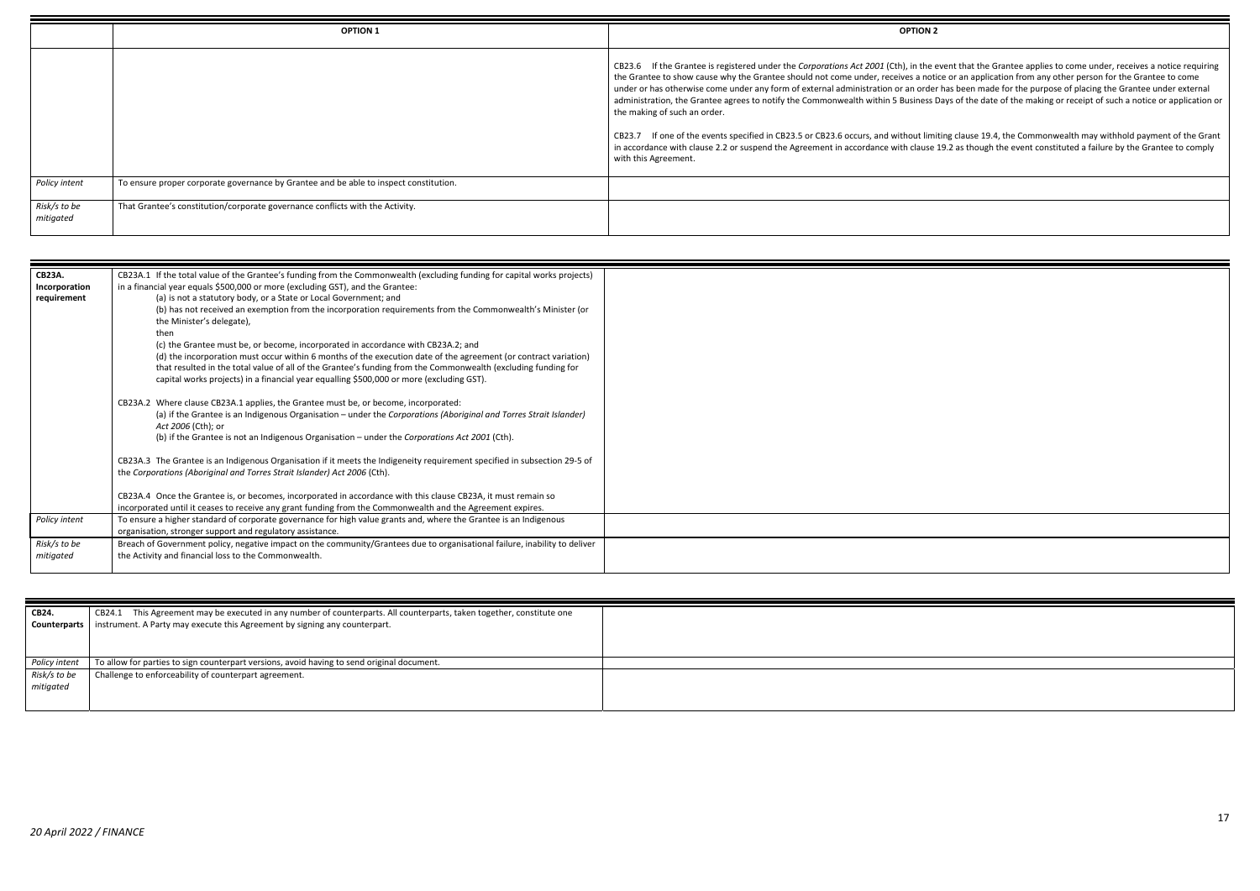*Int that the Grantee applies to come under, receives a notice requiring* or an application from any other person for the Grantee to come s been made for the purpose of placing the Grantee under external s of the date of the making or receipt of such a notice or application or

If onlaise 19.4, the Commonwealth may withhold payment of the Grant accordance with clause with clause  $\frac{1}{2}$  as though the event constituted a failure by the Grantee to comply

|                           | <b>OPTION 1</b>                                                                       | <b>OPTION 2</b>                                                                                                                                                                                                                                                                                                                                                                                            |
|---------------------------|---------------------------------------------------------------------------------------|------------------------------------------------------------------------------------------------------------------------------------------------------------------------------------------------------------------------------------------------------------------------------------------------------------------------------------------------------------------------------------------------------------|
|                           |                                                                                       | If the Grantee is registered under the <i>Corporations Act 2001</i> (Cth), in the even<br>CB23.6<br>the Grantee to show cause why the Grantee should not come under, receives a notice of<br>under or has otherwise come under any form of external administration or an order has<br>administration, the Grantee agrees to notify the Commonwealth within 5 Business Days<br>the making of such an order. |
|                           |                                                                                       | If one of the events specified in CB23.5 or CB23.6 occurs, and without limiting<br>CB23.7<br>in accordance with clause 2.2 or suspend the Agreement in accordance with clause 19.2<br>with this Agreement.                                                                                                                                                                                                 |
| Policy intent             | To ensure proper corporate governance by Grantee and be able to inspect constitution. |                                                                                                                                                                                                                                                                                                                                                                                                            |
| Risk/s to be<br>mitigated | That Grantee's constitution/corporate governance conflicts with the Activity.         |                                                                                                                                                                                                                                                                                                                                                                                                            |

| <b>CB23A.</b> | CB23A.1 If the total value of the Grantee's funding from the Commonwealth (excluding funding for capital works projects)   |  |
|---------------|----------------------------------------------------------------------------------------------------------------------------|--|
| Incorporation | in a financial year equals \$500,000 or more (excluding GST), and the Grantee:                                             |  |
| requirement   | (a) is not a statutory body, or a State or Local Government; and                                                           |  |
|               | (b) has not received an exemption from the incorporation requirements from the Commonwealth's Minister (or                 |  |
|               | the Minister's delegate),                                                                                                  |  |
|               | then                                                                                                                       |  |
|               | (c) the Grantee must be, or become, incorporated in accordance with CB23A.2; and                                           |  |
|               | (d) the incorporation must occur within 6 months of the execution date of the agreement (or contract variation)            |  |
|               | that resulted in the total value of all of the Grantee's funding from the Commonwealth (excluding funding for              |  |
|               | capital works projects) in a financial year equalling \$500,000 or more (excluding GST).                                   |  |
|               | CB23A.2 Where clause CB23A.1 applies, the Grantee must be, or become, incorporated:                                        |  |
|               | (a) if the Grantee is an Indigenous Organisation – under the Corporations (Aboriginal and Torres Strait Islander)          |  |
|               | Act 2006 (Cth); or                                                                                                         |  |
|               | (b) if the Grantee is not an Indigenous Organisation - under the Corporations Act 2001 (Cth).                              |  |
|               | CB23A.3 The Grantee is an Indigenous Organisation if it meets the Indigeneity requirement specified in subsection 29-5 of  |  |
|               | the Corporations (Aboriginal and Torres Strait Islander) Act 2006 (Cth).                                                   |  |
|               | CB23A.4 Once the Grantee is, or becomes, incorporated in accordance with this clause CB23A, it must remain so              |  |
|               | incorporated until it ceases to receive any grant funding from the Commonwealth and the Agreement expires.                 |  |
| Policy intent | To ensure a higher standard of corporate governance for high value grants and, where the Grantee is an Indigenous          |  |
|               | organisation, stronger support and regulatory assistance.                                                                  |  |
| Risk/s to be  | Breach of Government policy, negative impact on the community/Grantees due to organisational failure, inability to deliver |  |
| mitigated     | the Activity and financial loss to the Commonwealth.                                                                       |  |
|               |                                                                                                                            |  |

| CB24.<br>Counterparts     | This Agreement may be executed in any number of counterparts. All counterparts, taken together, constitute one<br>CB24.1<br>instrument. A Party may execute this Agreement by signing any counterpart. |  |
|---------------------------|--------------------------------------------------------------------------------------------------------------------------------------------------------------------------------------------------------|--|
| Policy intent             | To allow for parties to sign counterpart versions, avoid having to send original document.                                                                                                             |  |
| Risk/s to be<br>mitigated | Challenge to enforceability of counterpart agreement.                                                                                                                                                  |  |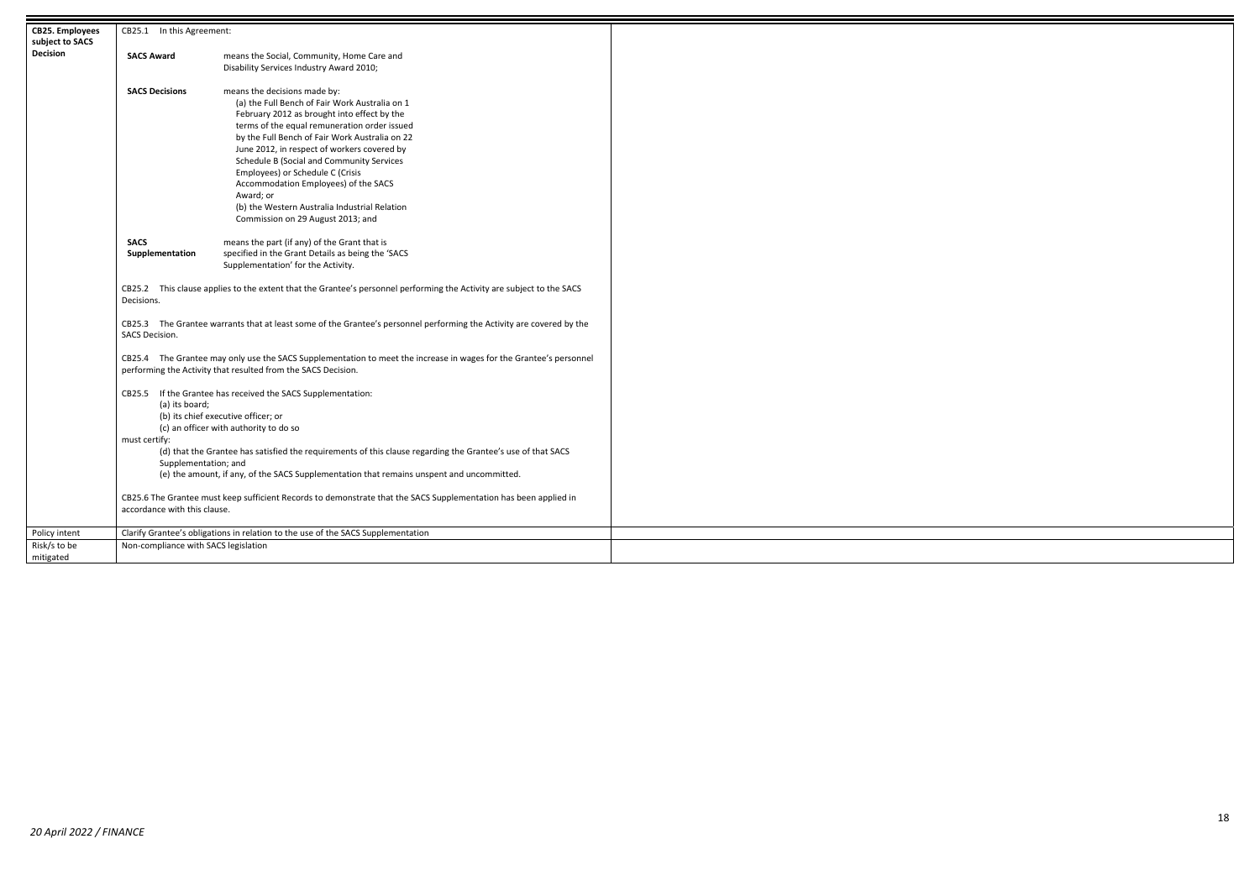| <b>CB25. Employees</b> | CB25.1 In this Agreement:                                                                                                              |                                                                                                                                                                                     |  |
|------------------------|----------------------------------------------------------------------------------------------------------------------------------------|-------------------------------------------------------------------------------------------------------------------------------------------------------------------------------------|--|
| subject to SACS        |                                                                                                                                        |                                                                                                                                                                                     |  |
| <b>Decision</b>        | <b>SACS Award</b>                                                                                                                      | means the Social, Community, Home Care and                                                                                                                                          |  |
|                        |                                                                                                                                        | Disability Services Industry Award 2010;                                                                                                                                            |  |
|                        | <b>SACS Decisions</b>                                                                                                                  | means the decisions made by:                                                                                                                                                        |  |
|                        |                                                                                                                                        | (a) the Full Bench of Fair Work Australia on 1                                                                                                                                      |  |
|                        |                                                                                                                                        | February 2012 as brought into effect by the                                                                                                                                         |  |
|                        |                                                                                                                                        | terms of the equal remuneration order issued                                                                                                                                        |  |
|                        |                                                                                                                                        | by the Full Bench of Fair Work Australia on 22                                                                                                                                      |  |
|                        |                                                                                                                                        | June 2012, in respect of workers covered by<br>Schedule B (Social and Community Services                                                                                            |  |
|                        |                                                                                                                                        | Employees) or Schedule C (Crisis                                                                                                                                                    |  |
|                        |                                                                                                                                        | Accommodation Employees) of the SACS                                                                                                                                                |  |
|                        |                                                                                                                                        | Award; or                                                                                                                                                                           |  |
|                        |                                                                                                                                        | (b) the Western Australia Industrial Relation                                                                                                                                       |  |
|                        |                                                                                                                                        | Commission on 29 August 2013; and                                                                                                                                                   |  |
|                        | <b>SACS</b>                                                                                                                            | means the part (if any) of the Grant that is                                                                                                                                        |  |
|                        | Supplementation                                                                                                                        | specified in the Grant Details as being the 'SACS                                                                                                                                   |  |
|                        |                                                                                                                                        | Supplementation' for the Activity.                                                                                                                                                  |  |
|                        |                                                                                                                                        |                                                                                                                                                                                     |  |
|                        | Decisions.                                                                                                                             | CB25.2 This clause applies to the extent that the Grantee's personnel performing the Activity are subject to the SACS                                                               |  |
|                        | CB25.3 The Grantee warrants that at least some of the Grantee's personnel performing the Activity are covered by the<br>SACS Decision. |                                                                                                                                                                                     |  |
|                        |                                                                                                                                        | CB25.4 The Grantee may only use the SACS Supplementation to meet the increase in wages for the Grantee's personnel<br>performing the Activity that resulted from the SACS Decision. |  |
|                        |                                                                                                                                        | CB25.5 If the Grantee has received the SACS Supplementation:                                                                                                                        |  |
|                        | (a) its board;                                                                                                                         |                                                                                                                                                                                     |  |
|                        |                                                                                                                                        | (b) its chief executive officer; or                                                                                                                                                 |  |
|                        |                                                                                                                                        | (c) an officer with authority to do so                                                                                                                                              |  |
|                        | must certify:                                                                                                                          | (d) that the Grantee has satisfied the requirements of this clause regarding the Grantee's use of that SACS                                                                         |  |
|                        | Supplementation; and                                                                                                                   |                                                                                                                                                                                     |  |
|                        |                                                                                                                                        | (e) the amount, if any, of the SACS Supplementation that remains unspent and uncommitted.                                                                                           |  |
|                        |                                                                                                                                        |                                                                                                                                                                                     |  |
|                        |                                                                                                                                        | CB25.6 The Grantee must keep sufficient Records to demonstrate that the SACS Supplementation has been applied in                                                                    |  |
|                        | accordance with this clause.                                                                                                           |                                                                                                                                                                                     |  |
| Policy intent          |                                                                                                                                        | Clarify Grantee's obligations in relation to the use of the SACS Supplementation                                                                                                    |  |
| Risk/s to be           | Non-compliance with SACS legislation                                                                                                   |                                                                                                                                                                                     |  |
| mitigated              |                                                                                                                                        |                                                                                                                                                                                     |  |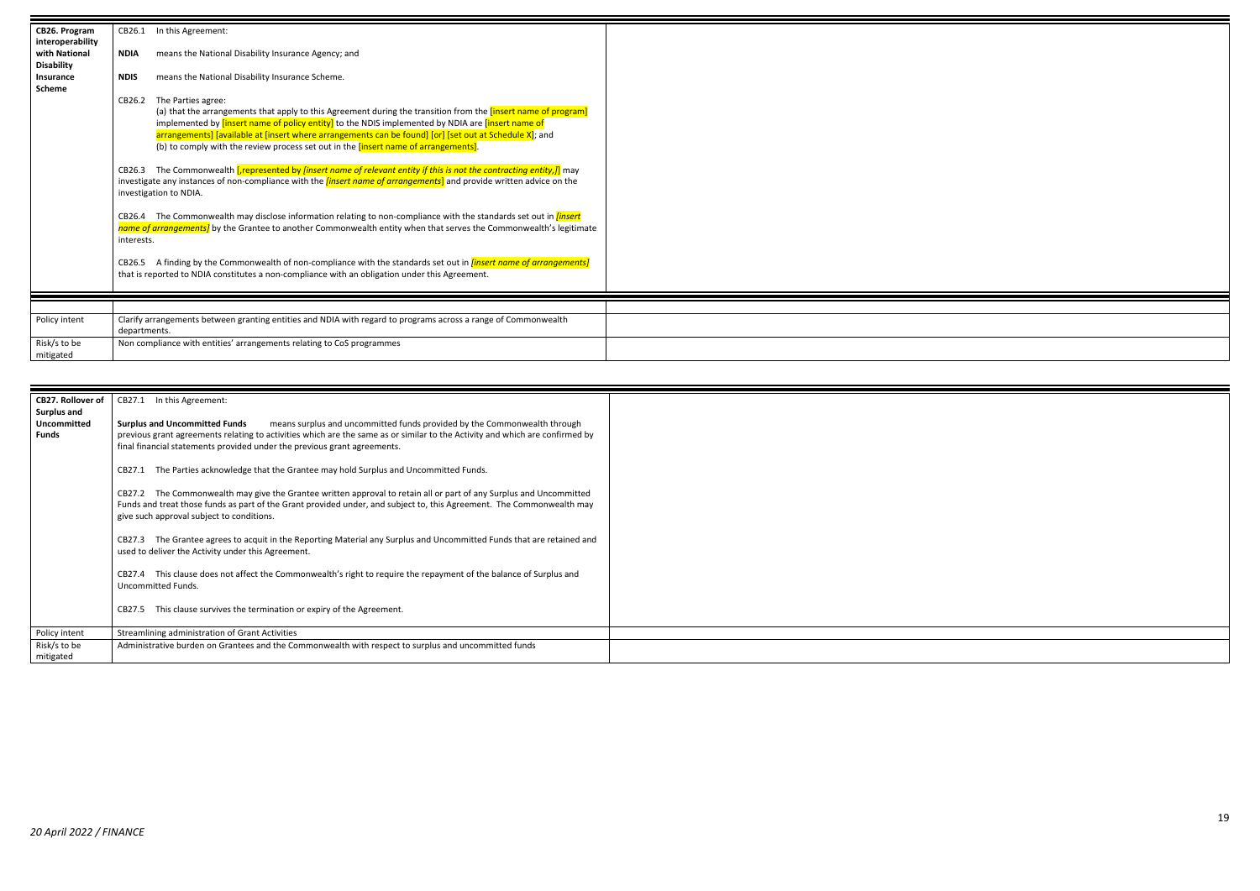| CB26. Program<br>interoperability | CB26.1                                                                                                                                                                                                                                                                            | In this Agreement:                                                                                                                                                                                                                       |  |
|-----------------------------------|-----------------------------------------------------------------------------------------------------------------------------------------------------------------------------------------------------------------------------------------------------------------------------------|------------------------------------------------------------------------------------------------------------------------------------------------------------------------------------------------------------------------------------------|--|
| with National                     | <b>NDIA</b>                                                                                                                                                                                                                                                                       | means the National Disability Insurance Agency; and                                                                                                                                                                                      |  |
| <b>Disability</b><br>Insurance    | <b>NDIS</b>                                                                                                                                                                                                                                                                       | means the National Disability Insurance Scheme.                                                                                                                                                                                          |  |
| <b>Scheme</b>                     |                                                                                                                                                                                                                                                                                   |                                                                                                                                                                                                                                          |  |
|                                   | CB26.2                                                                                                                                                                                                                                                                            | The Parties agree:                                                                                                                                                                                                                       |  |
|                                   |                                                                                                                                                                                                                                                                                   | (a) that the arrangements that apply to this Agreement during the transition from the <i>[insert name of program]</i><br>implemented by <i>[insert name of policy entity]</i> to the NDIS implemented by NDIA are <i>[insert name of</i> |  |
|                                   |                                                                                                                                                                                                                                                                                   | arrangements] [available at [insert where arrangements can be found] [or] [set out at Schedule X]; and<br>(b) to comply with the review process set out in the <i>[insert name of arrangements]</i> .                                    |  |
|                                   | The Commonwealth [represented by [insert name of relevant entity if this is not the contracting entity,]] may<br>CB26.3<br>investigate any instances of non-compliance with the <i>linsert name of arrangements</i> ] and provide written advice on the<br>investigation to NDIA. |                                                                                                                                                                                                                                          |  |
|                                   | The Commonwealth may disclose information relating to non-compliance with the standards set out in <i>[insert</i> ]<br>CB26.4<br>name of arrangements] by the Grantee to another Commonwealth entity when that serves the Commonwealth's legitimate<br>interests.                 |                                                                                                                                                                                                                                          |  |
|                                   | CB26.5                                                                                                                                                                                                                                                                            | A finding by the Commonwealth of non-compliance with the standards set out in <i>linsert name of arrangements]</i><br>that is reported to NDIA constitutes a non-compliance with an obligation under this Agreement.                     |  |
|                                   |                                                                                                                                                                                                                                                                                   |                                                                                                                                                                                                                                          |  |
| Policy intent                     | Clarify arrangements between granting entities and NDIA with regard to programs across a range of Commonwealth<br>departments.                                                                                                                                                    |                                                                                                                                                                                                                                          |  |
| Risk/s to be<br>mitigated         | Non compliance with entities' arrangements relating to CoS programmes                                                                                                                                                                                                             |                                                                                                                                                                                                                                          |  |

| <b>CB27. Rollover of</b>                          | CB27.1 In this Agreement:                                                                                                                                                                                                                                                                                                    |
|---------------------------------------------------|------------------------------------------------------------------------------------------------------------------------------------------------------------------------------------------------------------------------------------------------------------------------------------------------------------------------------|
| Surplus and<br><b>Uncommitted</b><br><b>Funds</b> | means surplus and uncommitted funds provided by the Commonwealth through<br><b>Surplus and Uncommitted Funds</b><br>previous grant agreements relating to activities which are the same as or similar to the Activity and which are confirmed by<br>final financial statements provided under the previous grant agreements. |
|                                                   | CB27.1 The Parties acknowledge that the Grantee may hold Surplus and Uncommitted Funds.                                                                                                                                                                                                                                      |
|                                                   | CB27.2 The Commonwealth may give the Grantee written approval to retain all or part of any Surplus and Uncommitted<br>Funds and treat those funds as part of the Grant provided under, and subject to, this Agreement. The Commonwealth may<br>give such approval subject to conditions.                                     |
|                                                   | The Grantee agrees to acquit in the Reporting Material any Surplus and Uncommitted Funds that are retained and<br>CB27.3<br>used to deliver the Activity under this Agreement.                                                                                                                                               |
|                                                   | CB27.4 This clause does not affect the Commonwealth's right to require the repayment of the balance of Surplus and<br>Uncommitted Funds.                                                                                                                                                                                     |
|                                                   | CB27.5 This clause survives the termination or expiry of the Agreement.                                                                                                                                                                                                                                                      |
| Policy intent                                     | Streamlining administration of Grant Activities                                                                                                                                                                                                                                                                              |
| Risk/s to be<br>mitigated                         | Administrative burden on Grantees and the Commonwealth with respect to surplus and uncommitted funds                                                                                                                                                                                                                         |